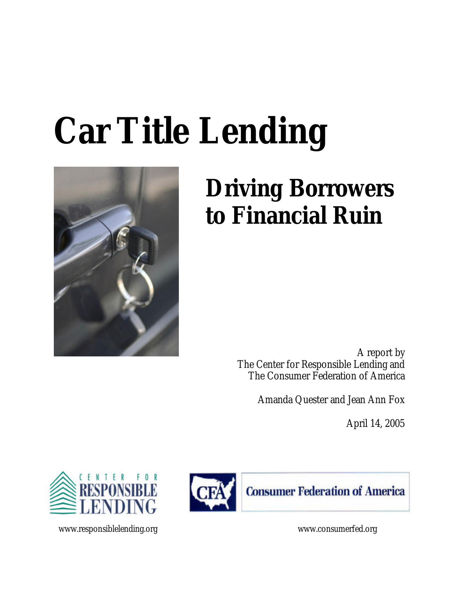# **Car Title Lending**



## **Driving Borrowers to Financial Ruin**

A report by The Center for Responsible Lending and The Consumer Federation of America

Amanda Quester and Jean Ann Fox

April 14, 2005





www.responsiblelending.org www.consumerfed.org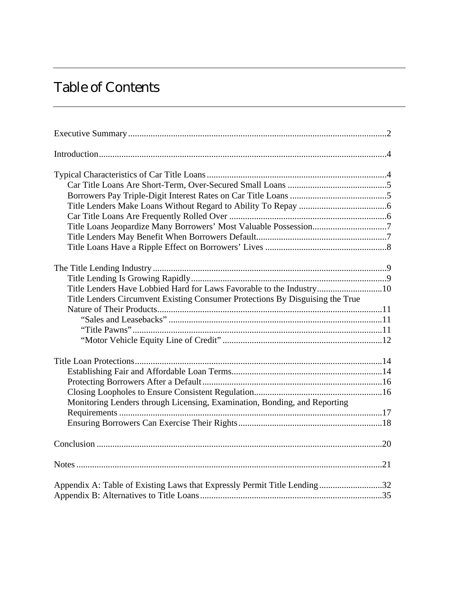## Table of Contents

| Title Lenders Have Lobbied Hard for Laws Favorable to the Industry10<br>Title Lenders Circumvent Existing Consumer Protections By Disguising the True |  |
|-------------------------------------------------------------------------------------------------------------------------------------------------------|--|
|                                                                                                                                                       |  |
|                                                                                                                                                       |  |
|                                                                                                                                                       |  |
|                                                                                                                                                       |  |
| Monitoring Lenders through Licensing, Examination, Bonding, and Reporting                                                                             |  |
|                                                                                                                                                       |  |
|                                                                                                                                                       |  |
| Appendix A: Table of Existing Laws that Expressly Permit Title Lending32                                                                              |  |
|                                                                                                                                                       |  |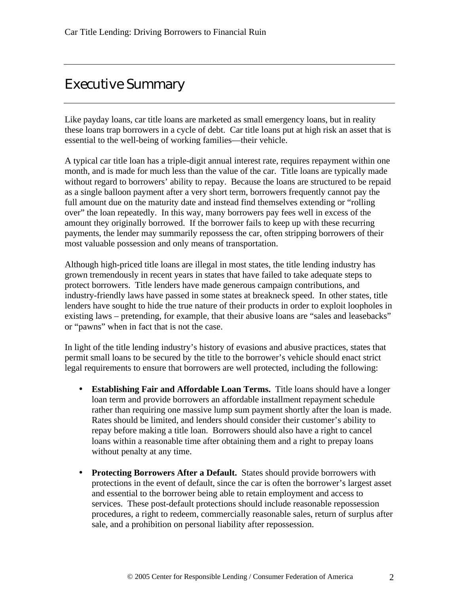## Executive Summary

Like payday loans, car title loans are marketed as small emergency loans, but in reality these loans trap borrowers in a cycle of debt. Car title loans put at high risk an asset that is essential to the well-being of working families—their vehicle.

A typical car title loan has a triple-digit annual interest rate, requires repayment within one month, and is made for much less than the value of the car. Title loans are typically made without regard to borrowers' ability to repay. Because the loans are structured to be repaid as a single balloon payment after a very short term, borrowers frequently cannot pay the full amount due on the maturity date and instead find themselves extending or "rolling over" the loan repeatedly. In this way, many borrowers pay fees well in excess of the amount they originally borrowed. If the borrower fails to keep up with these recurring payments, the lender may summarily repossess the car, often stripping borrowers of their most valuable possession and only means of transportation.

Although high-priced title loans are illegal in most states, the title lending industry has grown tremendously in recent years in states that have failed to take adequate steps to protect borrowers. Title lenders have made generous campaign contributions, and industry-friendly laws have passed in some states at breakneck speed. In other states, title lenders have sought to hide the true nature of their products in order to exploit loopholes in existing laws – pretending, for example, that their abusive loans are "sales and leasebacks" or "pawns" when in fact that is not the case.

In light of the title lending industry's history of evasions and abusive practices, states that permit small loans to be secured by the title to the borrower's vehicle should enact strict legal requirements to ensure that borrowers are well protected, including the following:

- **Establishing Fair and Affordable Loan Terms.** Title loans should have a longer loan term and provide borrowers an affordable installment repayment schedule rather than requiring one massive lump sum payment shortly after the loan is made. Rates should be limited, and lenders should consider their customer's ability to repay before making a title loan. Borrowers should also have a right to cancel loans within a reasonable time after obtaining them and a right to prepay loans without penalty at any time.
- **Protecting Borrowers After a Default.** States should provide borrowers with protections in the event of default, since the car is often the borrower's largest asset and essential to the borrower being able to retain employment and access to services. These post-default protections should include reasonable repossession procedures, a right to redeem, commercially reasonable sales, return of surplus after sale, and a prohibition on personal liability after repossession.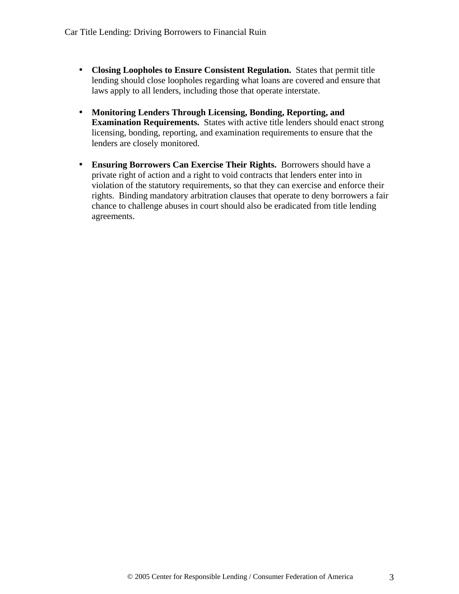- **Closing Loopholes to Ensure Consistent Regulation.** States that permit title lending should close loopholes regarding what loans are covered and ensure that laws apply to all lenders, including those that operate interstate.
- **Monitoring Lenders Through Licensing, Bonding, Reporting, and Examination Requirements.** States with active title lenders should enact strong licensing, bonding, reporting, and examination requirements to ensure that the lenders are closely monitored.
- **Ensuring Borrowers Can Exercise Their Rights.** Borrowers should have a private right of action and a right to void contracts that lenders enter into in violation of the statutory requirements, so that they can exercise and enforce their rights. Binding mandatory arbitration clauses that operate to deny borrowers a fair chance to challenge abuses in court should also be eradicated from title lending agreements.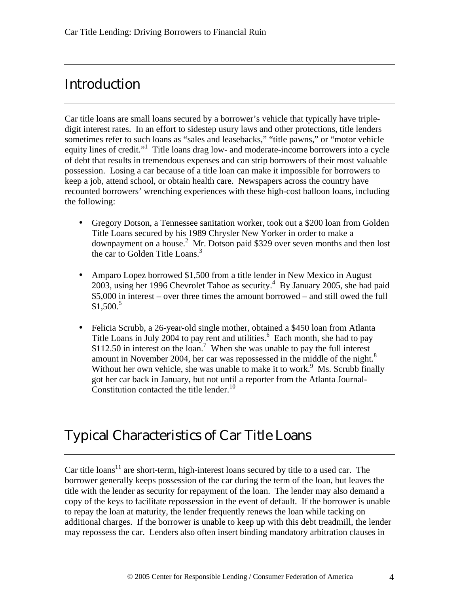## Introduction

Car title loans are small loans secured by a borrower's vehicle that typically have tripledigit interest rates. In an effort to sidestep usury laws and other protections, title lenders sometimes refer to such loans as "sales and leasebacks," "title pawns," or "motor vehicle equity lines of credit."<sup>1</sup> Title loans drag low- and moderate-income borrowers into a cycle of debt that results in tremendous expenses and can strip borrowers of their most valuable possession. Losing a car because of a title loan can make it impossible for borrowers to keep a job, attend school, or obtain health care. Newspapers across the country have recounted borrowers' wrenching experiences with these high-cost balloon loans, including the following:

- Gregory Dotson, a Tennessee sanitation worker, took out a \$200 loan from Golden Title Loans secured by his 1989 Chrysler New Yorker in order to make a downpayment on a house.<sup>2</sup> Mr. Dotson paid \$329 over seven months and then lost the car to Golden Title Loans.<sup>3</sup>
- Amparo Lopez borrowed \$1,500 from a title lender in New Mexico in August  $2003$ , using her 1996 Chevrolet Tahoe as security.<sup>4</sup> By January 2005, she had paid \$5,000 in interest – over three times the amount borrowed – and still owed the full  $$1,500.<sup>5</sup>$
- Felicia Scrubb, a 26-year-old single mother, obtained a \$450 loan from Atlanta Title Loans in July 2004 to pay rent and utilities.<sup>6</sup> Each month, she had to pay \$112.50 in interest on the loan.<sup>7</sup> When she was unable to pay the full interest amount in November 2004, her car was repossessed in the middle of the night.<sup>8</sup> Without her own vehicle, she was unable to make it to work.<sup>9</sup> Ms. Scrubb finally got her car back in January, but not until a reporter from the Atlanta Journal-Constitution contacted the title lender.<sup>10</sup>

## Typical Characteristics of Car Title Loans

Car title loans<sup>11</sup> are short-term, high-interest loans secured by title to a used car. The borrower generally keeps possession of the car during the term of the loan, but leaves the title with the lender as security for repayment of the loan. The lender may also demand a copy of the keys to facilitate repossession in the event of default. If the borrower is unable to repay the loan at maturity, the lender frequently renews the loan while tacking on additional charges. If the borrower is unable to keep up with this debt treadmill, the lender may repossess the car. Lenders also often insert binding mandatory arbitration clauses in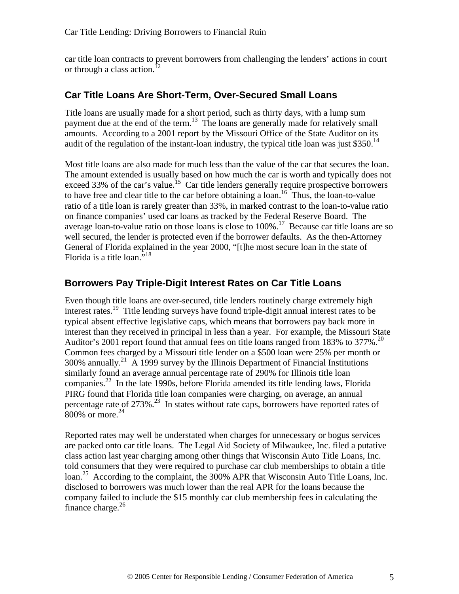car title loan contracts to prevent borrowers from challenging the lenders' actions in court or through a class action.<sup>12</sup>

#### **Car Title Loans Are Short-Term, Over-Secured Small Loans**

Title loans are usually made for a short period, such as thirty days, with a lump sum payment due at the end of the term.<sup>13</sup> The loans are generally made for relatively small amounts. According to a 2001 report by the Missouri Office of the State Auditor on its audit of the regulation of the instant-loan industry, the typical title loan was just \$350.<sup>14</sup>

Most title loans are also made for much less than the value of the car that secures the loan. The amount extended is usually based on how much the car is worth and typically does not exceed 33% of the car's value.<sup>15</sup> Car title lenders generally require prospective borrowers to have free and clear title to the car before obtaining a loan.<sup>16</sup> Thus, the loan-to-value ratio of a title loan is rarely greater than 33%, in marked contrast to the loan-to-value ratio on finance companies' used car loans as tracked by the Federal Reserve Board. The average loan-to-value ratio on those loans is close to 100%.<sup>17</sup> Because car title loans are so well secured, the lender is protected even if the borrower defaults. As the then-Attorney General of Florida explained in the year 2000, "[t]he most secure loan in the state of Florida is a title loan." $18$ 

#### **Borrowers Pay Triple-Digit Interest Rates on Car Title Loans**

Even though title loans are over-secured, title lenders routinely charge extremely high interest rates.<sup>19</sup> Title lending surveys have found triple-digit annual interest rates to be typical absent effective legislative caps, which means that borrowers pay back more in interest than they received in principal in less than a year. For example, the Missouri State Auditor's 2001 report found that annual fees on title loans ranged from 183% to 377%.<sup>20</sup> Common fees charged by a Missouri title lender on a \$500 loan were 25% per month or  $300\%$  annually.<sup>21</sup> A 1999 survey by the Illinois Department of Financial Institutions similarly found an average annual percentage rate of 290% for Illinois title loan companies. $^{22}$  In the late 1990s, before Florida amended its title lending laws, Florida PIRG found that Florida title loan companies were charging, on average, an annual percentage rate of  $273\%$ .<sup>23</sup> In states without rate caps, borrowers have reported rates of  $800\%$  or more.<sup>24</sup>

Reported rates may well be understated when charges for unnecessary or bogus services are packed onto car title loans. The Legal Aid Society of Milwaukee, Inc. filed a putative class action last year charging among other things that Wisconsin Auto Title Loans, Inc. told consumers that they were required to purchase car club memberships to obtain a title loan.<sup>25</sup> According to the complaint, the 300% APR that Wisconsin Auto Title Loans, Inc. disclosed to borrowers was much lower than the real APR for the loans because the company failed to include the \$15 monthly car club membership fees in calculating the finance charge. $^{26}$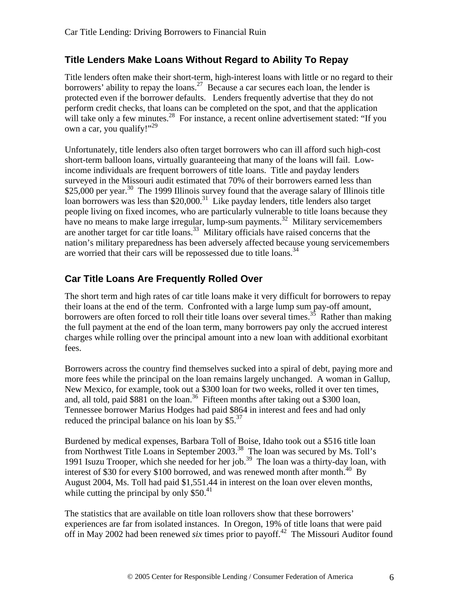#### **Title Lenders Make Loans Without Regard to Ability To Repay**

Title lenders often make their short-term, high-interest loans with little or no regard to their borrowers' ability to repay the loans.<sup>27</sup> Because a car secures each loan, the lender is protected even if the borrower defaults. Lenders frequently advertise that they do not perform credit checks, that loans can be completed on the spot, and that the application will take only a few minutes.<sup>28</sup> For instance, a recent online advertisement stated: "If you own a car, you qualify!"<sup>29</sup>

Unfortunately, title lenders also often target borrowers who can ill afford such high-cost short-term balloon loans, virtually guaranteeing that many of the loans will fail. Lowincome individuals are frequent borrowers of title loans. Title and payday lenders surveyed in the Missouri audit estimated that 70% of their borrowers earned less than \$25,000 per year.<sup>30</sup> The 1999 Illinois survey found that the average salary of Illinois title loan borrowers was less than  $$20,000$ .<sup>31</sup> Like payday lenders, title lenders also target people living on fixed incomes, who are particularly vulnerable to title loans because they have no means to make large irregular, lump-sum payments.<sup>32</sup> Military servicemembers are another target for car title loans.<sup>33</sup> Military officials have raised concerns that the nation's military preparedness has been adversely affected because young servicemembers are worried that their cars will be repossessed due to title loans.<sup>34</sup>

#### **Car Title Loans Are Frequently Rolled Over**

The short term and high rates of car title loans make it very difficult for borrowers to repay their loans at the end of the term. Confronted with a large lump sum pay-off amount, borrowers are often forced to roll their title loans over several times.<sup>35</sup> Rather than making the full payment at the end of the loan term, many borrowers pay only the accrued interest charges while rolling over the principal amount into a new loan with additional exorbitant fees.

Borrowers across the country find themselves sucked into a spiral of debt, paying more and more fees while the principal on the loan remains largely unchanged. A woman in Gallup, New Mexico, for example, took out a \$300 loan for two weeks, rolled it over ten times, and, all told, paid \$881 on the loan.<sup>36</sup> Fifteen months after taking out a \$300 loan, Tennessee borrower Marius Hodges had paid \$864 in interest and fees and had only reduced the principal balance on his loan by  $$5<sup>37</sup>$ 

Burdened by medical expenses, Barbara Toll of Boise, Idaho took out a \$516 title loan from Northwest Title Loans in September 2003.<sup>38</sup> The loan was secured by Ms. Toll's 1991 Isuzu Trooper, which she needed for her job.<sup>39</sup> The loan was a thirty-day loan, with interest of \$30 for every \$100 borrowed, and was renewed month after month.<sup>40</sup> By August 2004, Ms. Toll had paid \$1,551.44 in interest on the loan over eleven months, while cutting the principal by only  $$50<sup>41</sup>$ 

The statistics that are available on title loan rollovers show that these borrowers' experiences are far from isolated instances. In Oregon, 19% of title loans that were paid off in May 2002 had been renewed *six* times prior to payoff.<sup>42</sup> The Missouri Auditor found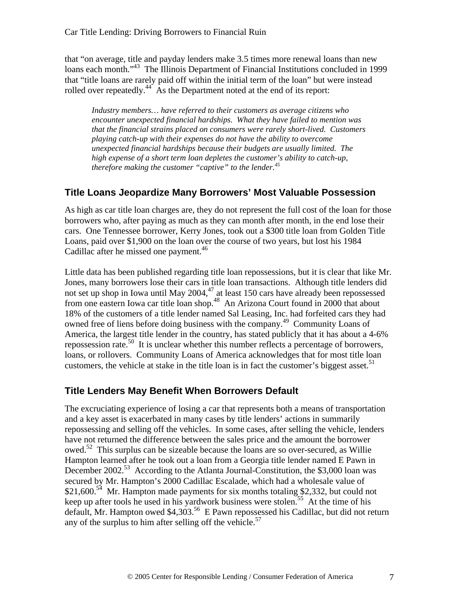that "on average, title and payday lenders make 3.5 times more renewal loans than new loans each month."<sup>43</sup> The Illinois Department of Financial Institutions concluded in 1999 that "title loans are rarely paid off within the initial term of the loan" but were instead rolled over repeatedly.<sup>44</sup> As the Department noted at the end of its report:

*Industry members… have referred to their customers as average citizens who encounter unexpected financial hardships. What they have failed to mention was that the financial strains placed on consumers were rarely short-lived. Customers playing catch-up with their expenses do not have the ability to overcome unexpected financial hardships because their budgets are usually limited. The high expense of a short term loan depletes the customer's ability to catch-up, therefore making the customer "captive" to the lender.<sup>45</sup>*

#### **Title Loans Jeopardize Many Borrowers' Most Valuable Possession**

As high as car title loan charges are, they do not represent the full cost of the loan for those borrowers who, after paying as much as they can month after month, in the end lose their cars. One Tennessee borrower, Kerry Jones, took out a \$300 title loan from Golden Title Loans, paid over \$1,900 on the loan over the course of two years, but lost his 1984 Cadillac after he missed one payment.<sup>46</sup>

Little data has been published regarding title loan repossessions, but it is clear that like Mr. Jones, many borrowers lose their cars in title loan transactions. Although title lenders did not set up shop in Iowa until May 2004, $47$  at least 150 cars have already been repossessed from one eastern Iowa car title loan shop.<sup>48</sup> An Arizona Court found in 2000 that about 18% of the customers of a title lender named Sal Leasing, Inc. had forfeited cars they had owned free of liens before doing business with the company.<sup>49</sup> Community Loans of America, the largest title lender in the country, has stated publicly that it has about a 4-6% repossession rate.<sup>50</sup> It is unclear whether this number reflects a percentage of borrowers, loans, or rollovers. Community Loans of America acknowledges that for most title loan customers, the vehicle at stake in the title loan is in fact the customer's biggest asset.<sup>51</sup>

#### **Title Lenders May Benefit When Borrowers Default**

The excruciating experience of losing a car that represents both a means of transportation and a key asset is exacerbated in many cases by title lenders' actions in summarily repossessing and selling off the vehicles. In some cases, after selling the vehicle, lenders have not returned the difference between the sales price and the amount the borrower owed.<sup>52</sup> This surplus can be sizeable because the loans are so over-secured, as Willie Hampton learned after he took out a loan from a Georgia title lender named E Pawn in December 2002.<sup>53</sup> According to the Atlanta Journal-Constitution, the \$3,000 loan was secured by Mr. Hampton's 2000 Cadillac Escalade, which had a wholesale value of  $$21,600<sup>54</sup>$  Mr. Hampton made payments for six months totaling \$2,332, but could not keep up after tools he used in his yardwork business were stolen.<sup>55</sup> At the time of his default, Mr. Hampton owed \$4,303.<sup>56</sup> E Pawn repossessed his Cadillac, but did not return any of the surplus to him after selling off the vehicle.<sup>57</sup>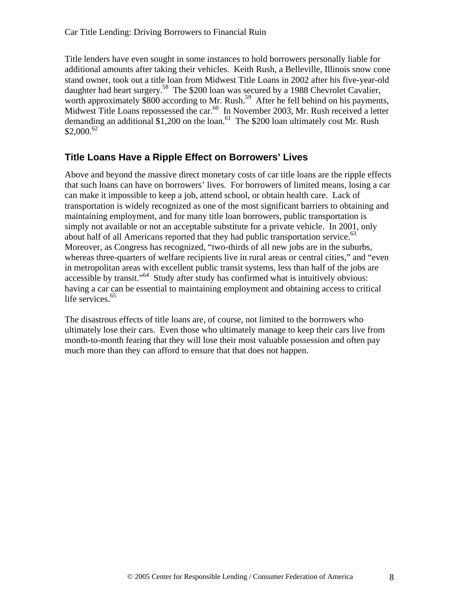Title lenders have even sought in some instances to hold borrowers personally liable for additional amounts after taking their vehicles. Keith Rush, a Belleville, Illinois snow cone stand owner, took out a title loan from Midwest Title Loans in 2002 after his five-year-old daughter had heart surgery.<sup>58</sup> The \$200 loan was secured by a 1988 Chevrolet Cavalier, worth approximately \$800 according to Mr. Rush.<sup>59</sup> After he fell behind on his payments, Midwest Title Loans repossessed the car.<sup>60</sup> In November 2003, Mr. Rush received a letter demanding an additional \$1,200 on the loan.<sup>61</sup> The \$200 loan ultimately cost Mr. Rush  $$2,000.<sup>62</sup>$ 

#### **Title Loans Have a Ripple Effect on Borrowers' Lives**

Above and beyond the massive direct monetary costs of car title loans are the ripple effects that such loans can have on borrowers' lives. For borrowers of limited means, losing a car can make it impossible to keep a job, attend school, or obtain health care. Lack of transportation is widely recognized as one of the most significant barriers to obtaining and maintaining employment, and for many title loan borrowers, public transportation is simply not available or not an acceptable substitute for a private vehicle. In 2001, only about half of all Americans reported that they had public transportation service.<sup>63</sup> Moreover, as Congress has recognized, "two-thirds of all new jobs are in the suburbs, whereas three-quarters of welfare recipients live in rural areas or central cities," and "even in metropolitan areas with excellent public transit systems, less than half of the jobs are accessible by transit."<sup>64</sup> Study after study has confirmed what is intuitively obvious: having a car can be essential to maintaining employment and obtaining access to critical life services.<sup>65</sup>

The disastrous effects of title loans are, of course, not limited to the borrowers who ultimately lose their cars. Even those who ultimately manage to keep their cars live from month-to-month fearing that they will lose their most valuable possession and often pay much more than they can afford to ensure that that does not happen.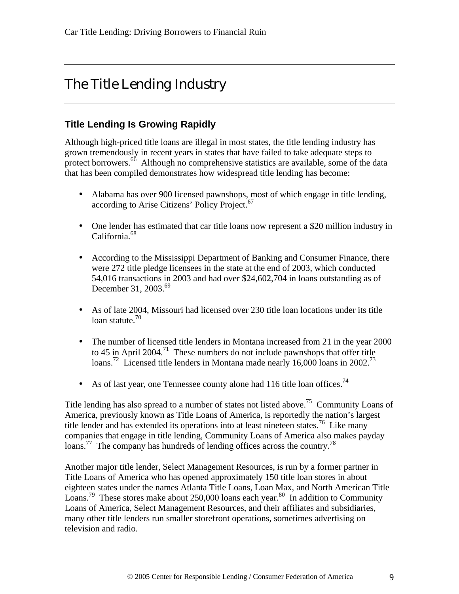## The Title Lending Industry

#### **Title Lending Is Growing Rapidly**

Although high-priced title loans are illegal in most states, the title lending industry has grown tremendously in recent years in states that have failed to take adequate steps to protect borrowers. $66$  Although no comprehensive statistics are available, some of the data that has been compiled demonstrates how widespread title lending has become:

- Alabama has over 900 licensed pawnshops, most of which engage in title lending, according to Arise Citizens' Policy Project.<sup>67</sup>
- One lender has estimated that car title loans now represent a \$20 million industry in California.<sup>68</sup>
- According to the Mississippi Department of Banking and Consumer Finance, there were 272 title pledge licensees in the state at the end of 2003, which conducted 54,016 transactions in 2003 and had over \$24,602,704 in loans outstanding as of December 31, 2003.<sup>69</sup>
- As of late 2004, Missouri had licensed over 230 title loan locations under its title loan statute.<sup>70</sup>
- The number of licensed title lenders in Montana increased from 21 in the year 2000 to 45 in April 2004.<sup>71</sup> These numbers do not include pawnshops that offer title loans.<sup>72</sup> Licensed title lenders in Montana made nearly 16,000 loans in 2002.<sup>73</sup>
- As of last year, one Tennessee county alone had 116 title loan offices.<sup>74</sup>

Title lending has also spread to a number of states not listed above.<sup>75</sup> Community Loans of America, previously known as Title Loans of America, is reportedly the nation's largest title lender and has extended its operations into at least nineteen states.<sup>76</sup> Like many companies that engage in title lending, Community Loans of America also makes payday loans.<sup>77</sup> The company has hundreds of lending offices across the country.<sup>78</sup>

Another major title lender, Select Management Resources, is run by a former partner in Title Loans of America who has opened approximately 150 title loan stores in about eighteen states under the names Atlanta Title Loans, Loan Max, and North American Title Loans.<sup>79</sup> These stores make about 250,000 loans each year.<sup>80</sup> In addition to Community Loans of America, Select Management Resources, and their affiliates and subsidiaries, many other title lenders run smaller storefront operations, sometimes advertising on television and radio.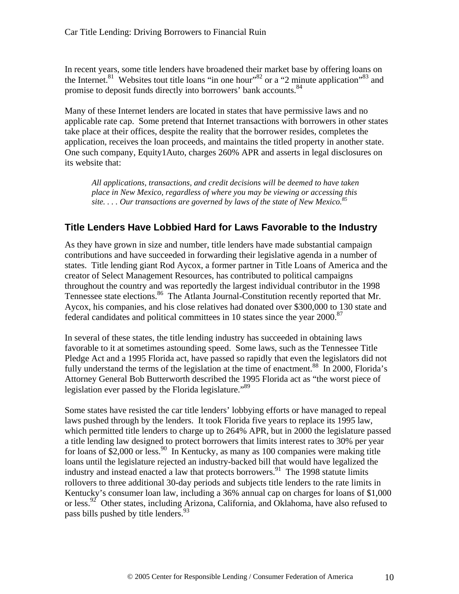In recent years, some title lenders have broadened their market base by offering loans on the Internet.<sup>81</sup> Websites tout title loans "in one hour"<sup>82</sup> or a "2 minute application"<sup>83</sup> and promise to deposit funds directly into borrowers' bank accounts.<sup>84</sup>

Many of these Internet lenders are located in states that have permissive laws and no applicable rate cap. Some pretend that Internet transactions with borrowers in other states take place at their offices, despite the reality that the borrower resides, completes the application, receives the loan proceeds, and maintains the titled property in another state. One such company, Equity1Auto, charges 260% APR and asserts in legal disclosures on its website that:

*All applications, transactions, and credit decisions will be deemed to have taken place in New Mexico, regardless of where you may be viewing or accessing this site. . . . Our transactions are governed by laws of the state of New Mexico.<sup>85</sup>*

#### **Title Lenders Have Lobbied Hard for Laws Favorable to the Industry**

As they have grown in size and number, title lenders have made substantial campaign contributions and have succeeded in forwarding their legislative agenda in a number of states. Title lending giant Rod Aycox, a former partner in Title Loans of America and the creator of Select Management Resources, has contributed to political campaigns throughout the country and was reportedly the largest individual contributor in the 1998 Tennessee state elections.<sup>86</sup> The Atlanta Journal-Constitution recently reported that Mr. Aycox, his companies, and his close relatives had donated over \$300,000 to 130 state and federal candidates and political committees in 10 states since the year 2000.<sup>87</sup>

In several of these states, the title lending industry has succeeded in obtaining laws favorable to it at sometimes astounding speed. Some laws, such as the Tennessee Title Pledge Act and a 1995 Florida act, have passed so rapidly that even the legislators did not fully understand the terms of the legislation at the time of enactment.<sup>88</sup> In 2000, Florida's Attorney General Bob Butterworth described the 1995 Florida act as "the worst piece of legislation ever passed by the Florida legislature."<sup>89</sup>

Some states have resisted the car title lenders' lobbying efforts or have managed to repeal laws pushed through by the lenders. It took Florida five years to replace its 1995 law, which permitted title lenders to charge up to 264% APR, but in 2000 the legislature passed a title lending law designed to protect borrowers that limits interest rates to 30% per year for loans of  $\S2,000$  or less.<sup>90</sup> In Kentucky, as many as 100 companies were making title loans until the legislature rejected an industry-backed bill that would have legalized the industry and instead enacted a law that protects borrowers.<sup>91</sup> The 1998 statute limits rollovers to three additional 30-day periods and subjects title lenders to the rate limits in Kentucky's consumer loan law, including a 36% annual cap on charges for loans of \$1,000 or less.<sup>92</sup> Other states, including Arizona, California, and Oklahoma, have also refused to pass bills pushed by title lenders.<sup>93</sup>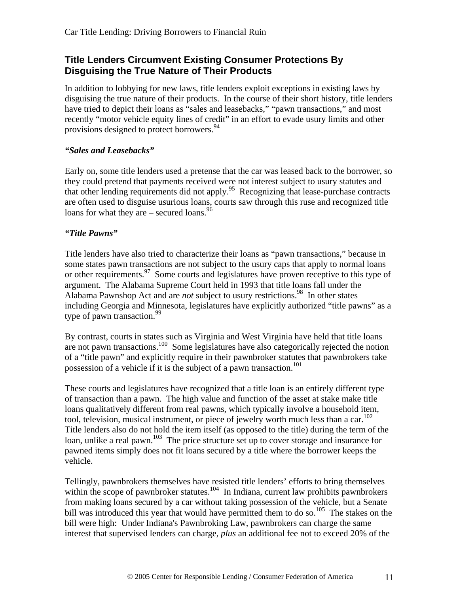#### **Title Lenders Circumvent Existing Consumer Protections By Disguising the True Nature of Their Products**

In addition to lobbying for new laws, title lenders exploit exceptions in existing laws by disguising the true nature of their products. In the course of their short history, title lenders have tried to depict their loans as "sales and leasebacks," "pawn transactions," and most recently "motor vehicle equity lines of credit" in an effort to evade usury limits and other provisions designed to protect borrowers.<sup>94</sup>

#### *"Sales and Leasebacks"*

Early on, some title lenders used a pretense that the car was leased back to the borrower, so they could pretend that payments received were not interest subject to usury statutes and that other lending requirements did not apply.<sup>95</sup> Recognizing that lease-purchase contracts are often used to disguise usurious loans, courts saw through this ruse and recognized title loans for what they are – secured loans.  $96$ 

#### *"Title Pawns"*

Title lenders have also tried to characterize their loans as "pawn transactions," because in some states pawn transactions are not subject to the usury caps that apply to normal loans or other requirements.<sup>97</sup> Some courts and legislatures have proven receptive to this type of argument. The Alabama Supreme Court held in 1993 that title loans fall under the Alabama Pawnshop Act and are *not* subject to usury restrictions.<sup>98</sup> In other states including Georgia and Minnesota, legislatures have explicitly authorized "title pawns" as a type of pawn transaction.<sup>99</sup>

By contrast, courts in states such as Virginia and West Virginia have held that title loans are not pawn transactions.<sup>100</sup> Some legislatures have also categorically rejected the notion of a "title pawn" and explicitly require in their pawnbroker statutes that pawnbrokers take possession of a vehicle if it is the subject of a pawn transaction.<sup>101</sup>

These courts and legislatures have recognized that a title loan is an entirely different type of transaction than a pawn. The high value and function of the asset at stake make title loans qualitatively different from real pawns, which typically involve a household item, tool, television, musical instrument, or piece of jewelry worth much less than a car.<sup>102</sup> Title lenders also do not hold the item itself (as opposed to the title) during the term of the loan, unlike a real pawn.<sup>103</sup> The price structure set up to cover storage and insurance for pawned items simply does not fit loans secured by a title where the borrower keeps the vehicle.

Tellingly, pawnbrokers themselves have resisted title lenders' efforts to bring themselves within the scope of pawnbroker statutes.<sup>104</sup> In Indiana, current law prohibits pawnbrokers from making loans secured by a car without taking possession of the vehicle, but a Senate bill was introduced this year that would have permitted them to do so.<sup>105</sup> The stakes on the bill were high: Under Indiana's Pawnbroking Law, pawnbrokers can charge the same interest that supervised lenders can charge, *plus* an additional fee not to exceed 20% of the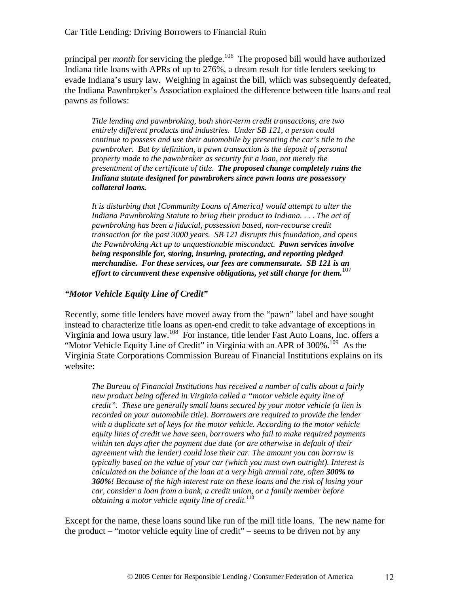principal per *month* for servicing the pledge.<sup>106</sup> The proposed bill would have authorized Indiana title loans with APRs of up to 276%, a dream result for title lenders seeking to evade Indiana's usury law. Weighing in against the bill, which was subsequently defeated, the Indiana Pawnbroker's Association explained the difference between title loans and real pawns as follows:

*Title lending and pawnbroking, both short-term credit transactions, are two entirely different products and industries. Under SB 121, a person could continue to possess and use their automobile by presenting the car's title to the pawnbroker. But by definition, a pawn transaction is the deposit of personal property made to the pawnbroker as security for a loan, not merely the presentment of the certificate of title. The proposed change completely ruins the Indiana statute designed for pawnbrokers since pawn loans are possessory collateral loans.*

*It is disturbing that [Community Loans of America] would attempt to alter the Indiana Pawnbroking Statute to bring their product to Indiana. . . . The act of pawnbroking has been a fiducial, possession based, non-recourse credit transaction for the past 3000 years. SB 121 disrupts this foundation, and opens the Pawnbroking Act up to unquestionable misconduct. Pawn services involve being responsible for, storing, insuring, protecting, and reporting pledged merchandise. For these services, our fees are commensurate. SB 121 is an effort to circumvent these expensive obligations, yet still charge for them.*<sup>107</sup>

#### *"Motor Vehicle Equity Line of Credit"*

Recently, some title lenders have moved away from the "pawn" label and have sought instead to characterize title loans as open-end credit to take advantage of exceptions in Virginia and Iowa usury law.<sup>108</sup> For instance, title lender Fast Auto Loans, Inc. offers a "Motor Vehicle Equity Line of Credit" in Virginia with an APR of  $300\%$ .<sup>109</sup> As the Virginia State Corporations Commission Bureau of Financial Institutions explains on its website:

*The Bureau of Financial Institutions has received a number of calls about a fairly new product being offered in Virginia called a "motor vehicle equity line of credit". These are generally small loans secured by your motor vehicle (a lien is recorded on your automobile title). Borrowers are required to provide the lender with a duplicate set of keys for the motor vehicle. According to the motor vehicle equity lines of credit we have seen, borrowers who fail to make required payments within ten days after the payment due date (or are otherwise in default of their agreement with the lender) could lose their car. The amount you can borrow is typically based on the value of your car (which you must own outright). Interest is calculated on the balance of the loan at a very high annual rate, often 300% to 360%! Because of the high interest rate on these loans and the risk of losing your car, consider a loan from a bank, a credit union, or a family member before obtaining a motor vehicle equity line of credit.*<sup>110</sup>

Except for the name, these loans sound like run of the mill title loans. The new name for the product – "motor vehicle equity line of credit" – seems to be driven not by any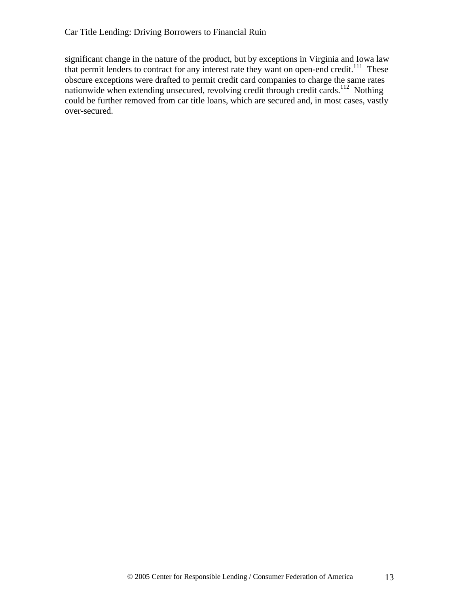significant change in the nature of the product, but by exceptions in Virginia and Iowa law that permit lenders to contract for any interest rate they want on open-end credit.<sup>111</sup> These obscure exceptions were drafted to permit credit card companies to charge the same rates nationwide when extending unsecured, revolving credit through credit cards.<sup>112</sup> Nothing could be further removed from car title loans, which are secured and, in most cases, vastly over-secured.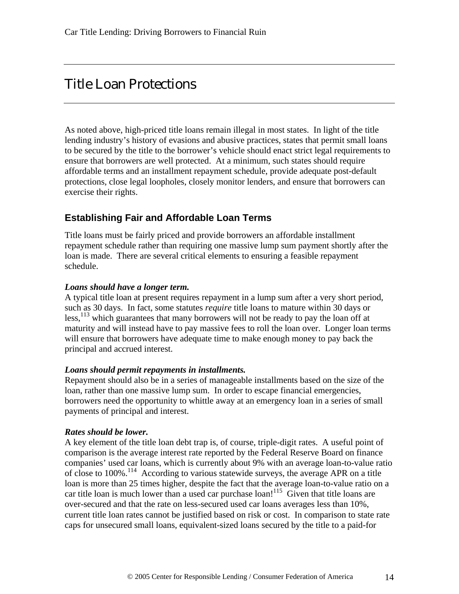## Title Loan Protections

As noted above, high-priced title loans remain illegal in most states. In light of the title lending industry's history of evasions and abusive practices, states that permit small loans to be secured by the title to the borrower's vehicle should enact strict legal requirements to ensure that borrowers are well protected. At a minimum, such states should require affordable terms and an installment repayment schedule, provide adequate post-default protections, close legal loopholes, closely monitor lenders, and ensure that borrowers can exercise their rights.

#### **Establishing Fair and Affordable Loan Terms**

Title loans must be fairly priced and provide borrowers an affordable installment repayment schedule rather than requiring one massive lump sum payment shortly after the loan is made. There are several critical elements to ensuring a feasible repayment schedule.

#### *Loans should have a longer term.*

A typical title loan at present requires repayment in a lump sum after a very short period, such as 30 days. In fact, some statutes *require* title loans to mature within 30 days or  $\text{less}$ <sup>113</sup> which guarantees that many borrowers will not be ready to pay the loan off at maturity and will instead have to pay massive fees to roll the loan over. Longer loan terms will ensure that borrowers have adequate time to make enough money to pay back the principal and accrued interest.

#### *Loans should permit repayments in installments.*

Repayment should also be in a series of manageable installments based on the size of the loan, rather than one massive lump sum. In order to escape financial emergencies, borrowers need the opportunity to whittle away at an emergency loan in a series of small payments of principal and interest.

#### *Rates should be lower.*

A key element of the title loan debt trap is, of course, triple-digit rates. A useful point of comparison is the average interest rate reported by the Federal Reserve Board on finance companies' used car loans, which is currently about 9% with an average loan-to-value ratio of close to 100%.<sup>114</sup> According to various statewide surveys, the average APR on a title loan is more than 25 times higher, despite the fact that the average loan-to-value ratio on a car title loan is much lower than a used car purchase loan!<sup>115</sup> Given that title loans are over-secured and that the rate on less-secured used car loans averages less than 10%, current title loan rates cannot be justified based on risk or cost. In comparison to state rate caps for unsecured small loans, equivalent-sized loans secured by the title to a paid-for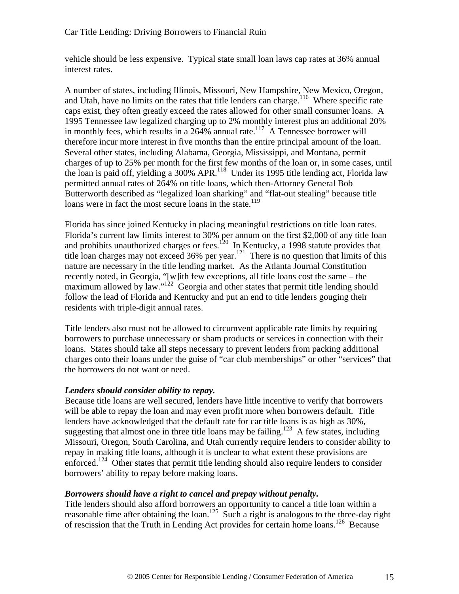vehicle should be less expensive. Typical state small loan laws cap rates at 36% annual interest rates.

A number of states, including Illinois, Missouri, New Hampshire, New Mexico, Oregon, and Utah, have no limits on the rates that title lenders can charge.<sup>116</sup> Where specific rate caps exist, they often greatly exceed the rates allowed for other small consumer loans. A 1995 Tennessee law legalized charging up to 2% monthly interest plus an additional 20% in monthly fees, which results in a  $264\%$  annual rate.<sup>117</sup> A Tennessee borrower will therefore incur more interest in five months than the entire principal amount of the loan. Several other states, including Alabama, Georgia, Mississippi, and Montana, permit charges of up to 25% per month for the first few months of the loan or, in some cases, until the loan is paid off, yielding a 300% APR.<sup>118</sup> Under its 1995 title lending act, Florida law permitted annual rates of 264% on title loans, which then-Attorney General Bob Butterworth described as "legalized loan sharking" and "flat-out stealing" because title loans were in fact the most secure loans in the state.<sup>119</sup>

Florida has since joined Kentucky in placing meaningful restrictions on title loan rates. Florida's current law limits interest to 30% per annum on the first \$2,000 of any title loan and prohibits unauthorized charges or fees.<sup>120</sup> In Kentucky, a 1998 statute provides that title loan charges may not exceed 36% per year.<sup>121</sup> There is no question that limits of this nature are necessary in the title lending market. As the Atlanta Journal Constitution recently noted, in Georgia, "[w]ith few exceptions, all title loans cost the same – the maximum allowed by law."<sup>122</sup> Georgia and other states that permit title lending should follow the lead of Florida and Kentucky and put an end to title lenders gouging their residents with triple-digit annual rates.

Title lenders also must not be allowed to circumvent applicable rate limits by requiring borrowers to purchase unnecessary or sham products or services in connection with their loans. States should take all steps necessary to prevent lenders from packing additional charges onto their loans under the guise of "car club memberships" or other "services" that the borrowers do not want or need.

#### *Lenders should consider ability to repay.*

Because title loans are well secured, lenders have little incentive to verify that borrowers will be able to repay the loan and may even profit more when borrowers default. Title lenders have acknowledged that the default rate for car title loans is as high as 30%, suggesting that almost one in three title loans may be failing.<sup>123</sup> A few states, including Missouri, Oregon, South Carolina, and Utah currently require lenders to consider ability to repay in making title loans, although it is unclear to what extent these provisions are enforced.<sup>124</sup> Other states that permit title lending should also require lenders to consider borrowers' ability to repay before making loans.

#### *Borrowers should have a right to cancel and prepay without penalty.*

Title lenders should also afford borrowers an opportunity to cancel a title loan within a reasonable time after obtaining the loan.<sup>125</sup> Such a right is analogous to the three-day right of rescission that the Truth in Lending Act provides for certain home loans.<sup>126</sup> Because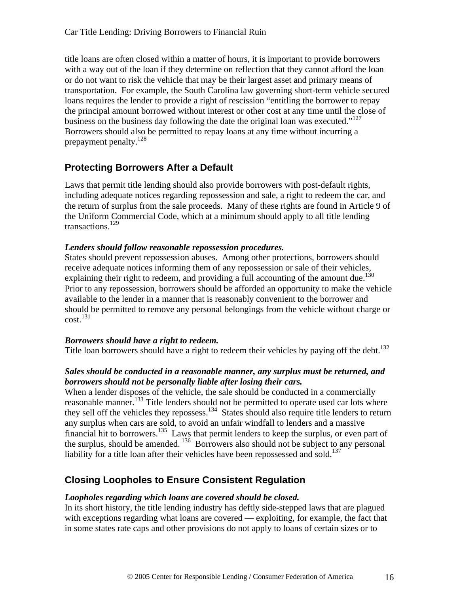title loans are often closed within a matter of hours, it is important to provide borrowers with a way out of the loan if they determine on reflection that they cannot afford the loan or do not want to risk the vehicle that may be their largest asset and primary means of transportation. For example, the South Carolina law governing short-term vehicle secured loans requires the lender to provide a right of rescission "entitling the borrower to repay the principal amount borrowed without interest or other cost at any time until the close of business on the business day following the date the original loan was executed."<sup>127</sup> Borrowers should also be permitted to repay loans at any time without incurring a prepayment penalty.<sup>128</sup>

#### **Protecting Borrowers After a Default**

Laws that permit title lending should also provide borrowers with post-default rights, including adequate notices regarding repossession and sale, a right to redeem the car, and the return of surplus from the sale proceeds. Many of these rights are found in Article 9 of the Uniform Commercial Code, which at a minimum should apply to all title lending transactions.<sup>129</sup>

#### *Lenders should follow reasonable repossession procedures.*

States should prevent repossession abuses. Among other protections, borrowers should receive adequate notices informing them of any repossession or sale of their vehicles, explaining their right to redeem, and providing a full accounting of the amount due.<sup>130</sup> Prior to any repossession, borrowers should be afforded an opportunity to make the vehicle available to the lender in a manner that is reasonably convenient to the borrower and should be permitted to remove any personal belongings from the vehicle without charge or  $\text{cost}$ <sup>131</sup>

#### *Borrowers should have a right to redeem.*

Title loan borrowers should have a right to redeem their vehicles by paying off the debt.<sup>132</sup>

#### *Sales should be conducted in a reasonable manner, any surplus must be returned, and borrowers should not be personally liable after losing their cars.*

When a lender disposes of the vehicle, the sale should be conducted in a commercially reasonable manner.<sup>133</sup> Title lenders should not be permitted to operate used car lots where they sell off the vehicles they repossess.<sup>134</sup> States should also require title lenders to return any surplus when cars are sold, to avoid an unfair windfall to lenders and a massive financial hit to borrowers.<sup>135</sup> Laws that permit lenders to keep the surplus, or even part of the surplus, should be amended. <sup>136</sup> Borrowers also should not be subject to any personal liability for a title loan after their vehicles have been repossessed and sold.<sup>137</sup>

#### **Closing Loopholes to Ensure Consistent Regulation**

#### *Loopholes regarding which loans are covered should be closed.*

In its short history, the title lending industry has deftly side-stepped laws that are plagued with exceptions regarding what loans are covered — exploiting, for example, the fact that in some states rate caps and other provisions do not apply to loans of certain sizes or to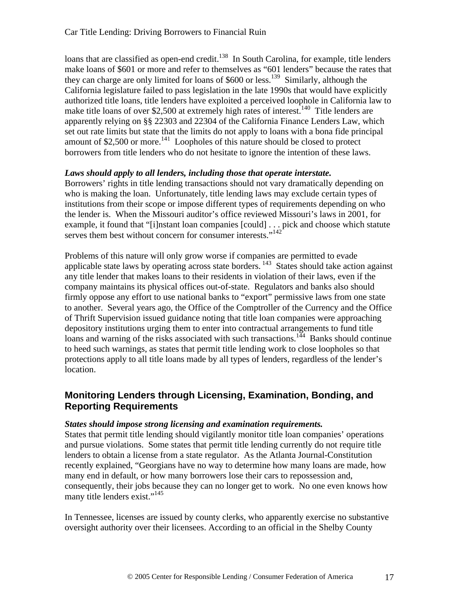loans that are classified as open-end credit.<sup>138</sup> In South Carolina, for example, title lenders make loans of \$601 or more and refer to themselves as "601 lenders" because the rates that they can charge are only limited for loans of \$600 or less.<sup>139</sup> Similarly, although the California legislature failed to pass legislation in the late 1990s that would have explicitly authorized title loans, title lenders have exploited a perceived loophole in California law to make title loans of over \$2,500 at extremely high rates of interest.<sup>140</sup> Title lenders are apparently relying on §§ 22303 and 22304 of the California Finance Lenders Law, which set out rate limits but state that the limits do not apply to loans with a bona fide principal amount of  $$2,500$  or more.<sup>141</sup> Loopholes of this nature should be closed to protect borrowers from title lenders who do not hesitate to ignore the intention of these laws.

#### *Laws should apply to all lenders, including those that operate interstate.*

Borrowers' rights in title lending transactions should not vary dramatically depending on who is making the loan. Unfortunately, title lending laws may exclude certain types of institutions from their scope or impose different types of requirements depending on who the lender is. When the Missouri auditor's office reviewed Missouri's laws in 2001, for example, it found that "[i]nstant loan companies [could] . . . pick and choose which statute serves them best without concern for consumer interests."<sup>142</sup>

Problems of this nature will only grow worse if companies are permitted to evade applicable state laws by operating across state borders.<sup>143</sup> States should take action against any title lender that makes loans to their residents in violation of their laws, even if the company maintains its physical offices out-of-state. Regulators and banks also should firmly oppose any effort to use national banks to "export" permissive laws from one state to another. Several years ago, the Office of the Comptroller of the Currency and the Office of Thrift Supervision issued guidance noting that title loan companies were approaching depository institutions urging them to enter into contractual arrangements to fund title loans and warning of the risks associated with such transactions.<sup>144</sup> Banks should continue to heed such warnings, as states that permit title lending work to close loopholes so that protections apply to all title loans made by all types of lenders, regardless of the lender's location.

#### **Monitoring Lenders through Licensing, Examination, Bonding, and Reporting Requirements**

#### *States should impose strong licensing and examination requirements.*

States that permit title lending should vigilantly monitor title loan companies' operations and pursue violations. Some states that permit title lending currently do not require title lenders to obtain a license from a state regulator. As the Atlanta Journal-Constitution recently explained, "Georgians have no way to determine how many loans are made, how many end in default, or how many borrowers lose their cars to repossession and, consequently, their jobs because they can no longer get to work. No one even knows how many title lenders exist."<sup>145</sup>

In Tennessee, licenses are issued by county clerks, who apparently exercise no substantive oversight authority over their licensees. According to an official in the Shelby County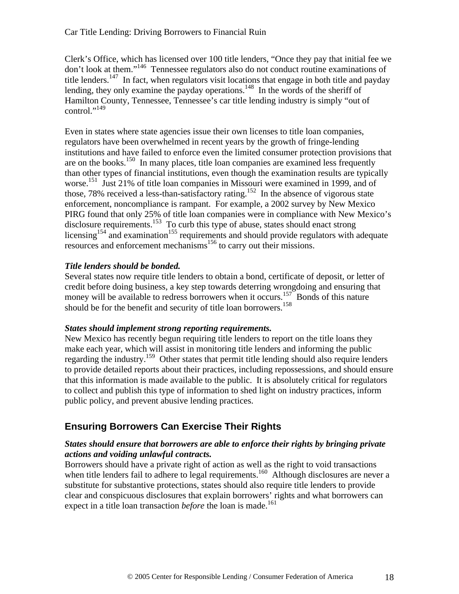Clerk's Office, which has licensed over 100 title lenders, "Once they pay that initial fee we don't look at them."<sup>146</sup> Tennessee regulators also do not conduct routine examinations of title lenders.<sup>147</sup> In fact, when regulators visit locations that engage in both title and payday lending, they only examine the payday operations.<sup>148</sup> In the words of the sheriff of Hamilton County, Tennessee, Tennessee's car title lending industry is simply "out of control."<sup>149</sup>

Even in states where state agencies issue their own licenses to title loan companies, regulators have been overwhelmed in recent years by the growth of fringe-lending institutions and have failed to enforce even the limited consumer protection provisions that are on the books.<sup>150</sup> In many places, title loan companies are examined less frequently than other types of financial institutions, even though the examination results are typically worse.<sup>151</sup> Just 21% of title loan companies in Missouri were examined in 1999, and of those, 78% received a less-than-satisfactory rating.<sup>152</sup> In the absence of vigorous state enforcement, noncompliance is rampant. For example, a 2002 survey by New Mexico PIRG found that only 25% of title loan companies were in compliance with New Mexico's disclosure requirements.<sup>153</sup> To curb this type of abuse, states should enact strong licensing<sup>154</sup> and examination<sup>155</sup> requirements and should provide regulators with adequate resources and enforcement mechanisms<sup>156</sup> to carry out their missions.

#### *Title lenders should be bonded.*

Several states now require title lenders to obtain a bond, certificate of deposit, or letter of credit before doing business, a key step towards deterring wrongdoing and ensuring that money will be available to redress borrowers when it occurs.<sup>157</sup> Bonds of this nature should be for the benefit and security of title loan borrowers.<sup>158</sup>

#### *States should implement strong reporting requirements.*

New Mexico has recently begun requiring title lenders to report on the title loans they make each year, which will assist in monitoring title lenders and informing the public regarding the industry.<sup>159</sup> Other states that permit title lending should also require lenders to provide detailed reports about their practices, including repossessions, and should ensure that this information is made available to the public. It is absolutely critical for regulators to collect and publish this type of information to shed light on industry practices, inform public policy, and prevent abusive lending practices.

#### **Ensuring Borrowers Can Exercise Their Rights**

#### *States should ensure that borrowers are able to enforce their rights by bringing private actions and voiding unlawful contracts.*

Borrowers should have a private right of action as well as the right to void transactions when title lenders fail to adhere to legal requirements.<sup>160</sup> Although disclosures are never a substitute for substantive protections, states should also require title lenders to provide clear and conspicuous disclosures that explain borrowers' rights and what borrowers can expect in a title loan transaction *before* the loan is made.<sup>161</sup>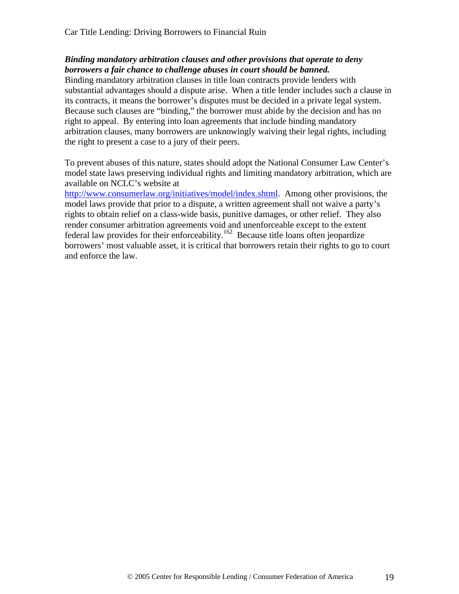#### *Binding mandatory arbitration clauses and other provisions that operate to deny borrowers a fair chance to challenge abuses in court should be banned.*

Binding mandatory arbitration clauses in title loan contracts provide lenders with substantial advantages should a dispute arise. When a title lender includes such a clause in its contracts, it means the borrower's disputes must be decided in a private legal system. Because such clauses are "binding," the borrower must abide by the decision and has no right to appeal. By entering into loan agreements that include binding mandatory arbitration clauses, many borrowers are unknowingly waiving their legal rights, including the right to present a case to a jury of their peers.

To prevent abuses of this nature, states should adopt the National Consumer Law Center's model state laws preserving individual rights and limiting mandatory arbitration, which are available on NCLC's website at

http://www.consumerlaw.org/initiatives/model/index.shtml. Among other provisions, the model laws provide that prior to a dispute, a written agreement shall not waive a party's rights to obtain relief on a class-wide basis, punitive damages, or other relief. They also render consumer arbitration agreements void and unenforceable except to the extent federal law provides for their enforceability.<sup>162</sup> Because title loans often jeopardize borrowers' most valuable asset, it is critical that borrowers retain their rights to go to court and enforce the law.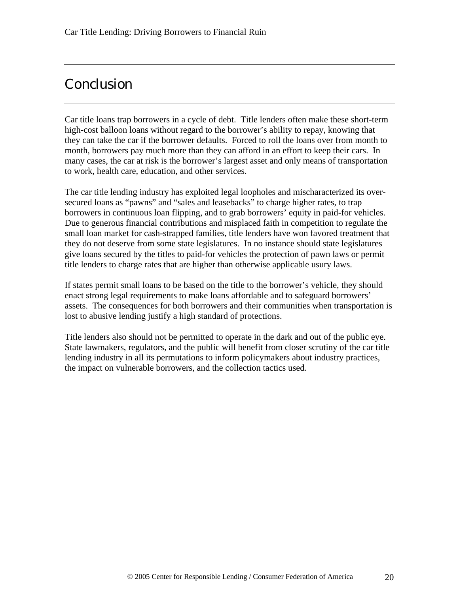## Conclusion

Car title loans trap borrowers in a cycle of debt. Title lenders often make these short-term high-cost balloon loans without regard to the borrower's ability to repay, knowing that they can take the car if the borrower defaults. Forced to roll the loans over from month to month, borrowers pay much more than they can afford in an effort to keep their cars. In many cases, the car at risk is the borrower's largest asset and only means of transportation to work, health care, education, and other services.

The car title lending industry has exploited legal loopholes and mischaracterized its oversecured loans as "pawns" and "sales and leasebacks" to charge higher rates, to trap borrowers in continuous loan flipping, and to grab borrowers' equity in paid-for vehicles. Due to generous financial contributions and misplaced faith in competition to regulate the small loan market for cash-strapped families, title lenders have won favored treatment that they do not deserve from some state legislatures. In no instance should state legislatures give loans secured by the titles to paid-for vehicles the protection of pawn laws or permit title lenders to charge rates that are higher than otherwise applicable usury laws.

If states permit small loans to be based on the title to the borrower's vehicle, they should enact strong legal requirements to make loans affordable and to safeguard borrowers' assets. The consequences for both borrowers and their communities when transportation is lost to abusive lending justify a high standard of protections.

Title lenders also should not be permitted to operate in the dark and out of the public eye. State lawmakers, regulators, and the public will benefit from closer scrutiny of the car title lending industry in all its permutations to inform policymakers about industry practices, the impact on vulnerable borrowers, and the collection tactics used.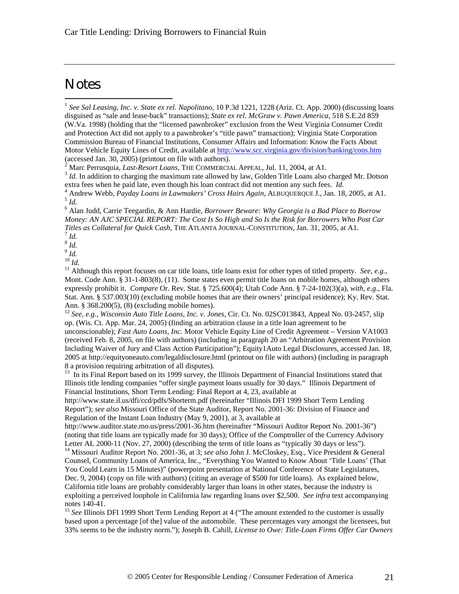## **Notes**

 $\overline{a}$ 

1 *See Sal Leasing, Inc. v. State ex rel. Napolitano,* 10 P.3d 1221, 1228 (Ariz. Ct. App. 2000) (discussing loans disguised as "sale and lease-back" transactions); *State ex rel. McGraw v. Pawn America*, 518 S.E.2d 859 (W.Va. 1998) (holding that the "licensed pawnbroker" exclusion from the West Virginia Consumer Credit and Protection Act did not apply to a pawnbroker's "title pawn" transaction); Virginia State Corporation Commission Bureau of Financial Institutions, Consumer Affairs and Information: Know the Facts About Motor Vehicle Equity Lines of Credit, available at http://www.scc.virginia.gov/division/banking/cons.htm (accessed Jan. 30, 2005) (printout on file with authors).

2 Marc Perrusquia, *Last-Resort Loans*, THE COMMERCIAL APPEAL, Jul. 11, 2004, at A1.

<sup>3</sup> Id. In addition to charging the maximum rate allowed by law, Golden Title Loans also charged Mr. Dotson extra fees when he paid late, even though his loan contract did not mention any such fees. *Id.*

4 Andrew Webb, *Payday Loans in Lawmakers' Cross Hairs Again*, ALBUQUERQUE J., Jan. 18, 2005, at A1. 5 *Id.*

6 Alan Judd, Carrie Teegardin, & Ann Hardie, *Borrower Beware: Why Georgia is a Bad Place to Borrow Money: AN AJC SPECIAL REPORT: The Cost Is So High and So Is the Risk for Borrowers Who Post Car Titles as Collateral for Quick Cash*, THE ATLANTA JOURNAL-CONSTITUTION, Jan. 31, 2005, at A1.

7 *Id.*

8 *Id.*

9 *Id.* <sup>10</sup> *Id.*

<sup>11</sup> Although this report focuses on car title loans, title loans exist for other types of titled property. *See, e.g.,* Mont. Code Ann. § 31-1-803(8), (11). Some states even permit title loans on mobile homes, although others expressly prohibit it. *Compare* Or. Rev. Stat. § 725.600(4); Utah Code Ann. § 7-24-102(3)(a), *with, e.g.,* Fla. Stat. Ann. § 537.003(10) (excluding mobile homes that are their owners' principal residence); Ky. Rev. Stat. Ann. § 368.200(5), (8) (excluding mobile homes).

<sup>12</sup> *See, e.g., Wisconsin Auto Title Loans, Inc. v. Jones*, Cir. Ct. No. 02SC013843, Appeal No. 03-2457, slip op. (Wis. Ct. App. Mar. 24, 2005) (finding an arbitration clause in a title loan agreement to be unconscionable); *Fast Auto Loans, Inc.* Motor Vehicle Equity Line of Credit Agreement – Version VA1003 (received Feb. 8, 2005, on file with authors) (including in paragraph 20 an "Arbitration Agreement Provision Including Waiver of Jury and Class Action Participation"); Equity1Auto Legal Disclosures, accessed Jan. 18, 2005 at http://equityoneauto.com/legaldisclosure.html (printout on file with authors) (including in paragraph 8 a provision requiring arbitration of all disputes).

<sup>13</sup> In its Final Report based on its 1999 survey, the Illinois Department of Financial Institutions stated that Illinois title lending companies "offer single payment loans usually for 30 days." Illinois Department of Financial Institutions, Short Term Lending: Final Report at 4, 23, available at

http://www.state.il.us/dfi/ccd/pdfs/Shorterm.pdf (hereinafter "Illinois DFI 1999 Short Term Lending Report"); *see also* Missouri Office of the State Auditor, Report No. 2001-36: Division of Finance and Regulation of the Instant Loan Industry (May 9, 2001), at 3, available at

http://www.auditor.state.mo.us/press/2001-36.htm (hereinafter "Missouri Auditor Report No. 2001-36") (noting that title loans are typically made for 30 days); Office of the Comptroller of the Currency Advisory Letter AL 2000-11 (Nov. 27, 2000) (describing the term of title loans as "typically 30 days or less").

<sup>14</sup> Missouri Auditor Report No. 2001-36, at 3; see also John J. McCloskey, Esq., Vice President & General Counsel, Community Loans of America, Inc., "Everything You Wanted to Know About 'Title Loans' (That You Could Learn in 15 Minutes)" (powerpoint presentation at National Conference of State Legislatures, Dec. 9, 2004) (copy on file with authors) (citing an average of \$500 for title loans). As explained below, California title loans are probably considerably larger than loans in other states, because the industry is exploiting a perceived loophole in California law regarding loans over \$2,500. *See infra* text accompanying notes 140-41.

<sup>15</sup> See Illinois DFI 1999 Short Term Lending Report at 4 ("The amount extended to the customer is usually based upon a percentage [of the] value of the automobile. These percentages vary amongst the licensees, but 33% seems to be the industry norm."); Joseph B. Cahill, *License to Owe: Title-Loan Firms Offer Car Owners*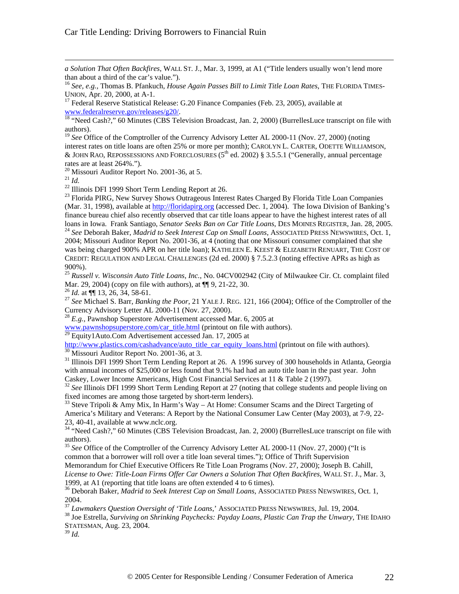*a Solution That Often Backfires*, WALL ST. J., Mar. 3, 1999, at A1 ("Title lenders usually won't lend more than about a third of the car's value.").

<sup>16</sup> *See, e.g.,* Thomas B. Pfankuch, *House Again Passes Bill to Limit Title Loan Rates*, THE FLORIDA TIMES-UNION, Apr. 20, 2000, at A-1.

 $17$  Federal Reserve Statistical Release: G.20 Finance Companies (Feb. 23, 2005), available at www.federalreserve.gov/releases/g20/.

<sup>18</sup> "Need Cash?," 60 Minutes (CBS Television Broadcast, Jan. 2, 2000) (BurrellesLuce transcript on file with authors).

<sup>19</sup> See Office of the Comptroller of the Currency Advisory Letter AL 2000-11 (Nov. 27, 2000) (noting

interest rates on title loans are often 25% or more per month); CAROLYN L. CARTER, ODETTE WILLIAMSON, & JOHN RAO, REPOSSESSIONS AND FORECLOSURES  $(5<sup>th</sup>$  ed. 2002) § 3.5.5.1 ("Generally, annual percentage rates are at least 264%.").

<sup>20</sup> Missouri Auditor Report No. 2001-36, at 5.

<sup>21</sup> *Id.*

 $\overline{a}$ 

<sup>22</sup> Illinois DFI 1999 Short Term Lending Report at 26.

<sup>23</sup> Florida PIRG, New Survey Shows Outrageous Interest Rates Charged By Florida Title Loan Companies (Mar. 31, 1998), available at http://floridapirg.org (accessed Dec. 1, 2004). The Iowa Division of Banking's finance bureau chief also recently observed that car title loans appear to have the highest interest rates of all loans in Iowa. Frank Santiago, *Senator Seeks Ban on Car Title Loans*, DES MOINES REGISTER, Jan. 28, 2005.

<sup>24</sup> *See* Deborah Baker, *Madrid to Seek Interest Cap on Small Loans*, ASSOCIATED PRESS NEWSWIRES, Oct. 1, 2004; Missouri Auditor Report No. 2001-36, at 4 (noting that one Missouri consumer complained that she was being charged 900% APR on her title loan); KATHLEEN E. KEEST & ELIZABETH RENUART, THE COST OF CREDIT: REGULATION AND LEGAL CHALLENGES (2d ed. 2000) § 7.5.2.3 (noting effective APRs as high as 900%).

<sup>25</sup> *Russell v. Wisconsin Auto Title Loans, Inc.*, No. 04CV002942 (City of Milwaukee Cir. Ct. complaint filed Mar. 29, 2004) (copy on file with authors), at  $\P$ [9, 21-22, 30.

<sup>26</sup> *Id.* at ¶¶ 13, 26, 34, 58-61.

<sup>27</sup> *See* Michael S. Barr, *Banking the Poor*, 21 YALE J. REG. 121, 166 (2004); Office of the Comptroller of the Currency Advisory Letter AL 2000-11 (Nov. 27, 2000).

<sup>28</sup> *E.g.*, Pawnshop Superstore Advertisement accessed Mar. 6, 2005 at

www.pawnshopsuperstore.com/car\_title.html (printout on file with authors).

 $29$  Equity1Auto.Com Advertisement accessed Jan. 17, 2005 at

http://www.plastics.com/cashadvance/auto\_title\_car\_equity\_loans.html (printout on file with authors). <sup>30</sup> Missouri Auditor Report No. 2001-36, at 3.

<sup>31</sup> Illinois DFI 1999 Short Term Lending Report at 26. A 1996 survey of 300 households in Atlanta, Georgia with annual incomes of \$25,000 or less found that 9.1% had had an auto title loan in the past year. John Caskey, Lower Income Americans, High Cost Financial Services at 11 & Table 2 (1997).

<sup>32</sup> See Illinois DFI 1999 Short Term Lending Report at 27 (noting that college students and people living on fixed incomes are among those targeted by short-term lenders).

 $33$  Steve Tripoli & Amy Mix, In Harm's Way – At Home: Consumer Scams and the Direct Targeting of America's Military and Veterans: A Report by the National Consumer Law Center (May 2003), at 7-9, 22- 23, 40-41, available at www.nclc.org.

<sup>34</sup> "Need Cash?," 60 Minutes (CBS Television Broadcast, Jan. 2, 2000) (BurrellesLuce transcript on file with authors).

<sup>35</sup> *See* Office of the Comptroller of the Currency Advisory Letter AL 2000-11 (Nov. 27, 2000) ("It is common that a borrower will roll over a title loan several times."); Office of Thrift Supervision

Memorandum for Chief Executive Officers Re Title Loan Programs (Nov. 27, 2000); Joseph B. Cahill,

*License to Owe: Title-Loan Firms Offer Car Owners a Solution That Often Backfires*, WALL ST. J., Mar. 3, 1999, at A1 (reporting that title loans are often extended 4 to 6 times).

<sup>36</sup> Deborah Baker, *Madrid to Seek Interest Cap on Small Loans*, ASSOCIATED PRESS NEWSWIRES, Oct. 1, 2004.

<sup>37</sup> *Lawmakers Question Oversight of 'Title Loans*,' ASSOCIATED PRESS NEWSWIRES, Jul. 19, 2004.

<sup>38</sup> Joe Estrella, *Surviving on Shrinking Paychecks: Payday Loans, Plastic Can Trap the Unwary*, THE IDAHO STATESMAN, Aug. 23, 2004.

<sup>39</sup> *Id.*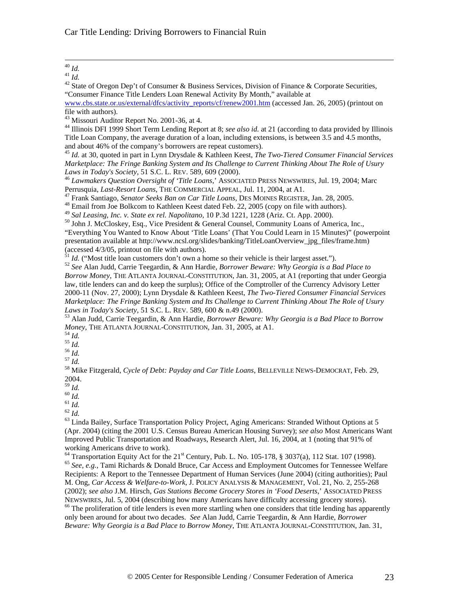#### $\overline{a}$ <sup>40</sup> *Id.*

<sup>41</sup> *Id.*

<sup>42</sup> State of Oregon Dep't of Consumer & Business Services, Division of Finance & Corporate Securities, "Consumer Finance Title Lenders Loan Renewal Activity By Month," available at

www.cbs.state.or.us/external/dfcs/activity\_reports/cf/renew2001.htm (accessed Jan. 26, 2005) (printout on file with authors).

<sup>43</sup> Missouri Auditor Report No. 2001-36, at 4.

<sup>44</sup> Illinois DFI 1999 Short Term Lending Report at 8; *see also id.* at 21 (according to data provided by Illinois Title Loan Company, the average duration of a loan, including extensions, is between 3.5 and 4.5 months, and about 46% of the company's borrowers are repeat customers).

<sup>45</sup> *Id.* at 30, quoted in part in Lynn Drysdale & Kathleen Keest, *The Two-Tiered Consumer Financial Services Marketplace: The Fringe Banking System and Its Challenge to Current Thinking About The Role of Usury Laws in Today's Society*, 51 S.C. L. REV. 589, 609 (2000).

<sup>46</sup> *Lawmakers Question Oversight of 'Title Loans*,' ASSOCIATED PRESS NEWSWIRES, Jul. 19, 2004; Marc Perrusquia, *Last-Resort Loans*, THE COMMERCIAL APPEAL, Jul. 11, 2004, at A1.

<sup>47</sup> Frank Santiago, *Senator Seeks Ban on Car Title Loans*, DES MOINES REGISTER, Jan. 28, 2005.

<sup>48</sup> Email from Joe Bolkcom to Kathleen Keest dated Feb. 22, 2005 (copy on file with authors).

<sup>49</sup> *Sal Leasing, Inc. v. State ex rel. Napolitano,* 10 P.3d 1221, 1228 (Ariz. Ct. App. 2000).

<sup>50</sup> John J. McCloskey, Esq., Vice President & General Counsel, Community Loans of America, Inc., "Everything You Wanted to Know About 'Title Loans' (That You Could Learn in 15 Minutes)" (powerpoint presentation available at http://www.ncsl.org/slides/banking/TitleLoanOverview\_jpg\_files/frame.htm) (accessed 4/3/05, printout on file with authors).

 $\frac{51}{1}$  *Id.* ("Most title loan customers don't own a home so their vehicle is their largest asset.").

<sup>52</sup> *See* Alan Judd, Carrie Teegardin, & Ann Hardie, *Borrower Beware: Why Georgia is a Bad Place to Borrow Money*, THE ATLANTA JOURNAL-CONSTITUTION, Jan. 31, 2005, at A1 (reporting that under Georgia law, title lenders can and do keep the surplus); Office of the Comptroller of the Currency Advisory Letter 2000-11 (Nov. 27, 2000); Lynn Drysdale & Kathleen Keest, *The Two-Tiered Consumer Financial Services Marketplace: The Fringe Banking System and Its Challenge to Current Thinking About The Role of Usury Laws in Today's Society*, 51 S.C. L. REV. 589, 600 & n.49 (2000).

<sup>53</sup> Alan Judd, Carrie Teegardin, & Ann Hardie, *Borrower Beware: Why Georgia is a Bad Place to Borrow Money*, THE ATLANTA JOURNAL-CONSTITUTION, Jan. 31, 2005, at A1.

- <sup>54</sup> *Id.*
- $^{55}$  *Id.*
- $^{56}$  *Id.*

<sup>57</sup> *Id.*

<sup>58</sup> Mike Fitzgerald, *Cycle of Debt: Payday and Car Title Loans*, BELLEVILLE NEWS-DEMOCRAT, Feb. 29, 2004.

<sup>59</sup> *Id.*

<sup>60</sup> *Id.*

<sup>61</sup> *Id.*

<sup>62</sup> *Id.*

<sup>63</sup> Linda Bailey, Surface Transportation Policy Project, Aging Americans: Stranded Without Options at 5 (Apr. 2004) (citing the 2001 U.S. Census Bureau American Housing Survey); *see also* Most Americans Want Improved Public Transportation and Roadways, Research Alert, Jul. 16, 2004, at 1 (noting that 91% of working Americans drive to work).

 $^{64}$  Transportation Equity Act for the 21<sup>st</sup> Century, Pub. L. No. 105-178, § 3037(a), 112 Stat. 107 (1998). <sup>65</sup> *See, e.g.,* Tami Richards & Donald Bruce, Car Access and Employment Outcomes for Tennessee Welfare Recipients: A Report to the Tennessee Department of Human Services (June 2004) (citing authorities); Paul M. Ong, *Car Access & Welfare-to-Work*, J. POLICY ANALYSIS & MANAGEMENT, Vol. 21, No. 2, 255-268 (2002); *see also* J.M. Hirsch, *Gas Stations Become Grocery Stores in 'Food Deserts*,' ASSOCIATED PRESS NEWSWIRES, Jul. 5, 2004 (describing how many Americans have difficulty accessing grocery stores).

<sup>66</sup> The proliferation of title lenders is even more startling when one considers that title lending has apparently only been around for about two decades. *See* Alan Judd, Carrie Teegardin, & Ann Hardie, *Borrower Beware: Why Georgia is a Bad Place to Borrow Money*, THE ATLANTA JOURNAL-CONSTITUTION, Jan. 31,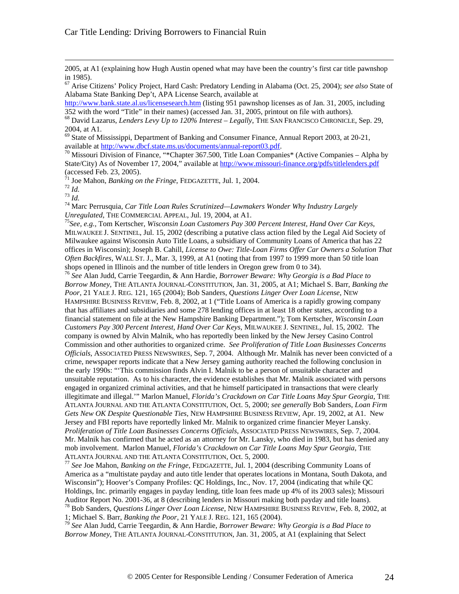2005, at A1 (explaining how Hugh Austin opened what may have been the country's first car title pawnshop in 1985).

<sup>67</sup> Arise Citizens' Policy Project, Hard Cash: Predatory Lending in Alabama (Oct. 25, 2004); *see also* State of Alabama State Banking Dep't, APA License Search, available at

http://www.bank.state.al.us/licensesearch.htm (listing 951 pawnshop licenses as of Jan. 31, 2005, including 352 with the word "Title" in their names) (accessed Jan. 31, 2005, printout on file with authors).

<sup>68</sup> David Lazarus, *Lenders Levy Up to 120% Interest – Legally*, THE SAN FRANCISCO CHRONICLE, Sep. 29, 2004, at A1.

<sup>69</sup> State of Mississippi, Department of Banking and Consumer Finance, Annual Report 2003, at 20-21, available at http://www.dbcf.state.ms.us/documents/annual-report03.pdf.

<sup>70</sup> Missouri Division of Finance, "\*Chapter 367.500, Title Loan Companies\* (Active Companies – Alpha by State/City) As of November 17, 2004," available at http://www.missouri-finance.org/pdfs/titlelenders.pdf (accessed Feb. 23, 2005).

<sup>71</sup> Joe Mahon, *Banking on the Fringe*, FEDGAZETTE, Jul. 1, 2004.

<sup>72</sup> *Id.*

 $\overline{a}$ 

<sup>73</sup> *Id.*

<sup>74</sup> Marc Perrusquia, *Car Title Loan Rules Scrutinized—Lawmakers Wonder Why Industry Largely Unregulated*, THE COMMERCIAL APPEAL, Jul. 19, 2004, at A1.

<sup>75</sup>*See, e.g.,* Tom Kertscher, *Wisconsin Loan Customers Pay 300 Percent Interest, Hand Over Car Keys*, MILWAUKEE J. SENTINEL, Jul. 15, 2002 (describing a putative class action filed by the Legal Aid Society of Milwaukee against Wisconsin Auto Title Loans, a subsidiary of Community Loans of America that has 22 offices in Wisconsin); Joseph B. Cahill, *License to Owe: Title-Loan Firms Offer Car Owners a Solution That Often Backfires*, WALL ST. J., Mar. 3, 1999, at A1 (noting that from 1997 to 1999 more than 50 title loan shops opened in Illinois and the number of title lenders in Oregon grew from 0 to 34).

<sup>76</sup> *See* Alan Judd, Carrie Teegardin, & Ann Hardie, *Borrower Beware: Why Georgia is a Bad Place to Borrow Money*, THE ATLANTA JOURNAL-CONSTITUTION, Jan. 31, 2005, at A1; Michael S. Barr, *Banking the Poor*, 21 YALE J. REG. 121, 165 (2004); Bob Sanders, *Questions Linger Over Loan License*, NEW HAMPSHIRE BUSINESS REVIEW, Feb. 8, 2002, at 1 ("Title Loans of America is a rapidly growing company that has affiliates and subsidiaries and some 278 lending offices in at least 18 other states, according to a financial statement on file at the New Hampshire Banking Department."); Tom Kertscher, *Wisconsin Loan Customers Pay 300 Percent Interest, Hand Over Car Keys*, MILWAUKEE J. SENTINEL, Jul. 15, 2002. The company is owned by Alvin Malnik, who has reportedly been linked by the New Jersey Casino Control Commission and other authorities to organized crime. *See Proliferation of Title Loan Businesses Concerns Officials*, ASSOCIATED PRESS NEWSWIRES, Sep. 7, 2004. Although Mr. Malnik has never been convicted of a crime, newspaper reports indicate that a New Jersey gaming authority reached the following conclusion in the early 1990s: "'This commission finds Alvin I. Malnik to be a person of unsuitable character and unsuitable reputation. As to his character, the evidence establishes that Mr. Malnik associated with persons engaged in organized criminal activities, and that he himself participated in transactions that were clearly illegitimate and illegal.'" Marlon Manuel, *Florida's Crackdown on Car Title Loans May Spur Georgia*, THE ATLANTA JOURNAL AND THE ATLANTA CONSTITUTION, Oct. 5, 2000; *see generally* Bob Sanders, *Loan Firm Gets New OK Despite Questionable Ties*, NEW HAMPSHIRE BUSINESS REVIEW, Apr. 19, 2002, at A1. New Jersey and FBI reports have reportedly linked Mr. Malnik to organized crime financier Meyer Lansky. *Proliferation of Title Loan Businesses Concerns Officials*, ASSOCIATED PRESS NEWSWIRES, Sep. 7, 2004. Mr. Malnik has confirmed that he acted as an attorney for Mr. Lansky, who died in 1983, but has denied any mob involvement. Marlon Manuel, *Florida's Crackdown on Car Title Loans May Spur Georgia*, THE ATLANTA JOURNAL AND THE ATLANTA CONSTITUTION, Oct. 5, 2000.

<sup>77</sup> *See* Joe Mahon, *Banking on the Fringe*, FEDGAZETTE, Jul. 1, 2004 (describing Community Loans of America as a "multistate payday and auto title lender that operates locations in Montana, South Dakota, and Wisconsin"); Hoover's Company Profiles: QC Holdings, Inc., Nov. 17, 2004 (indicating that while QC Holdings, Inc. primarily engages in payday lending, title loan fees made up 4% of its 2003 sales); Missouri Auditor Report No. 2001-36, at 8 (describing lenders in Missouri making both payday and title loans). <sup>78</sup> Bob Sanders, *Questions Linger Over Loan License*, NEW HAMPSHIRE BUSINESS REVIEW, Feb. 8, 2002, at

1; Michael S. Barr, *Banking the Poor*, 21 YALE J. REG. 121, 165 (2004).

<sup>79</sup> *See* Alan Judd, Carrie Teegardin, & Ann Hardie, *Borrower Beware: Why Georgia is a Bad Place to Borrow Money*, THE ATLANTA JOURNAL-CONSTITUTION, Jan. 31, 2005, at A1 (explaining that Select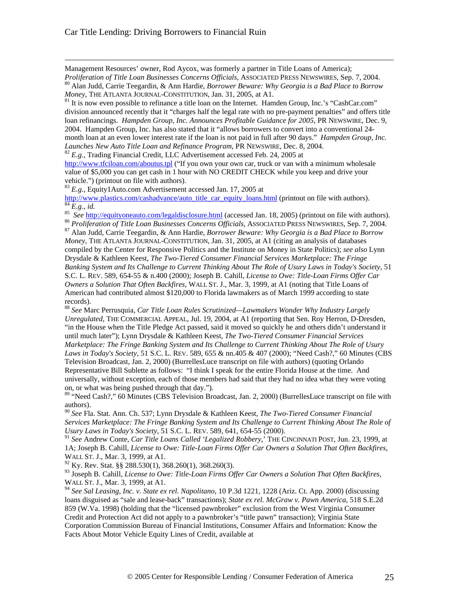$\overline{a}$ 

Management Resources' owner, Rod Aycox, was formerly a partner in Title Loans of America);

*Proliferation of Title Loan Businesses Concerns Officials*, ASSOCIATED PRESS NEWSWIRES, Sep. 7, 2004. <sup>80</sup> Alan Judd, Carrie Teegardin, & Ann Hardie, *Borrower Beware: Why Georgia is a Bad Place to Borrow Money*, THE ATLANTA JOURNAL-CONSTITUTION, Jan. 31, 2005, at A1.

<sup>81</sup> It is now even possible to refinance a title loan on the Internet. Hamden Group, Inc.'s "CashCar.com" division announced recently that it "charges half the legal rate with no pre-payment penalties" and offers title loan refinancings. *Hampden Group, Inc. Announces Profitable Guidance for 2005*, PR NEWSWIRE, Dec. 9, 2004. Hampden Group, Inc. has also stated that it "allows borrowers to convert into a conventional 24 month loan at an even lower interest rate if the loan is not paid in full after 90 days." *Hampden Group, Inc. Launches New Auto Title Loan and Refinance Program*, PR NEWSWIRE, Dec. 8, 2004.

<sup>82</sup> E.g., Trading Financial Credit, LLC Advertisement accessed Feb. 24, 2005 at

http://www.tfciloan.com/aboutus.tpl ("If you own your own car, truck or van with a minimum wholesale value of \$5,000 you can get cash in 1 hour with NO CREDIT CHECK while you keep and drive your vehicle.") (printout on file with authors).

<sup>83</sup> *E.g.,* Equity1Auto.com Advertisement accessed Jan. 17, 2005 at

http://www.plastics.com/cashadvance/auto\_title\_car\_equity\_loans.html (printout on file with authors).  $\overline{{}^{84}E}$ , *id.* 

85 *See* http://equityoneauto.com/legaldisclosure.html (accessed Jan. 18, 2005) (printout on file with authors).

<sup>86</sup> *Proliferation of Title Loan Businesses Concerns Officials*, ASSOCIATED PRESS NEWSWIRES, Sep. 7, 2004.

<sup>87</sup> Alan Judd, Carrie Teegardin, & Ann Hardie, *Borrower Beware: Why Georgia is a Bad Place to Borrow Money*, THE ATLANTA JOURNAL-CONSTITUTION, Jan. 31, 2005, at A1 (citing an analysis of databases compiled by the Center for Responsive Politics and the Institute on Money in State Politics); *see also* Lynn Drysdale & Kathleen Keest, *The Two-Tiered Consumer Financial Services Marketplace: The Fringe Banking System and Its Challenge to Current Thinking About The Role of Usury Laws in Today's Society*, 51 S.C. L. REV. 589, 654-55 & n.400 (2000); Joseph B. Cahill, *License to Owe: Title-Loan Firms Offer Car Owners a Solution That Often Backfires*, WALL ST. J., Mar. 3, 1999, at A1 (noting that Title Loans of American had contributed almost \$120,000 to Florida lawmakers as of March 1999 according to state records).

<sup>88</sup> *See* Marc Perrusquia, *Car Title Loan Rules Scrutinized—Lawmakers Wonder Why Industry Largely Unregulated*, THE COMMERCIAL APPEAL, Jul. 19, 2004, at A1 (reporting that Sen. Roy Herron, D-Dresden, "in the House when the Title Pledge Act passed, said it moved so quickly he and others didn't understand it until much later"); Lynn Drysdale & Kathleen Keest, *The Two-Tiered Consumer Financial Services Marketplace: The Fringe Banking System and Its Challenge to Current Thinking About The Role of Usury Laws in Today's Society*, 51 S.C. L. REV. 589, 655 & nn.405 & 407 (2000); "Need Cash?," 60 Minutes (CBS Television Broadcast, Jan. 2, 2000) (BurrellesLuce transcript on file with authors) (quoting Orlando Representative Bill Sublette as follows: "I think I speak for the entire Florida House at the time. And universally, without exception, each of those members had said that they had no idea what they were voting on, or what was being pushed through that day.").

<sup>89</sup> "Need Cash?," 60 Minutes (CBS Television Broadcast, Jan. 2, 2000) (BurrellesLuce transcript on file with authors).

<sup>90</sup> *See* Fla. Stat. Ann. Ch. 537; Lynn Drysdale & Kathleen Keest, *The Two-Tiered Consumer Financial Services Marketplace: The Fringe Banking System and Its Challenge to Current Thinking About The Role of Usury Laws in Today's Society*, 51 S.C. L. REV. 589, 641, 654-55 (2000).

<sup>91</sup> *See* Andrew Conte, *Car Title Loans Called 'Legalized Robbery*,' THE CINCINNATI POST, Jun. 23, 1999, at 1A; Joseph B. Cahill, *License to Owe: Title-Loan Firms Offer Car Owners a Solution That Often Backfires*, WALL ST. J., Mar. 3, 1999, at A1.

 $^{92}$  Ky. Rev. Stat. §§ 288.530(1), 368.260(1), 368.260(3).

<sup>93</sup> Joseph B. Cahill, *License to Owe: Title-Loan Firms Offer Car Owners a Solution That Often Backfires*, WALL ST. J., Mar. 3, 1999, at A1.

<sup>94</sup> *See Sal Leasing, Inc. v. State ex rel. Napolitano,* 10 P.3d 1221, 1228 (Ariz. Ct. App. 2000) (discussing loans disguised as "sale and lease-back" transactions); *State ex rel. McGraw v. Pawn America*, 518 S.E.2d 859 (W.Va. 1998) (holding that the "licensed pawnbroker" exclusion from the West Virginia Consumer Credit and Protection Act did not apply to a pawnbroker's "title pawn" transaction); Virginia State Corporation Commission Bureau of Financial Institutions, Consumer Affairs and Information: Know the Facts About Motor Vehicle Equity Lines of Credit, available at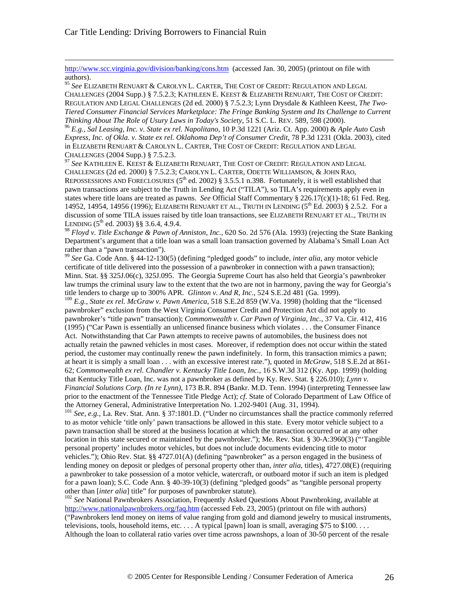$\overline{a}$ 

http://www.scc.virginia.gov/division/banking/cons.htm (accessed Jan. 30, 2005) (printout on file with authors).

<sup>95</sup> *See* ELIZABETH RENUART & CAROLYN L. CARTER, THE COST OF CREDIT: REGULATION AND LEGAL CHALLENGES (2004 Supp.) § 7.5.2.3; KATHLEEN E. KEEST & ELIZABETH RENUART, THE COST OF CREDIT: REGULATION AND LEGAL CHALLENGES (2d ed. 2000) § 7.5.2.3; Lynn Drysdale & Kathleen Keest, *The Two-Tiered Consumer Financial Services Marketplace: The Fringe Banking System and Its Challenge to Current Thinking About The Role of Usury Laws in Today's Society*, 51 S.C. L. REV. 589, 598 (2000).

<sup>96</sup> *E.g., Sal Leasing, Inc. v. State ex rel. Napolitano,* 10 P.3d 1221 (Ariz. Ct. App. 2000) & *Aple Auto Cash Express, Inc. of Okla. v. State ex rel. Oklahoma Dep't of Consumer Credit*, 78 P.3d 1231 (Okla. 2003), cited in ELIZABETH RENUART & CAROLYN L. CARTER, THE COST OF CREDIT: REGULATION AND LEGAL CHALLENGES (2004 Supp.) § 7.5.2.3.

<sup>97</sup> *See* KATHLEEN E. KEEST & ELIZABETH RENUART, THE COST OF CREDIT: REGULATION AND LEGAL CHALLENGES (2d ed. 2000) § 7.5.2.3; CAROLYN L. CARTER, ODETTE WILLIAMSON, & JOHN RAO, REPOSSESSIONS AND FORECLOSURES ( $5<sup>th</sup>$  ed. 2002) § 3.5.5.1 n.398. Fortunately, it is well established that pawn transactions are subject to the Truth in Lending Act ("TILA"), so TILA's requirements apply even in states where title loans are treated as pawns. *See* Official Staff Commentary § 226.17(c)(1)-18; 61 Fed. Reg. 14952, 14954, 14956 (1996); ELIZABETH RENUART ET AL., TRUTH IN LENDING (5<sup>th</sup> Ed. 2003) § 2.5.2. For a discussion of some TILA issues raised by title loan transactions, see ELIZABETH RENUART ET AL., TRUTH IN LENDING  $(5^{th}$  ed. 2003) §§ 3.6.4, 4.9.4.

<sup>98</sup> *Floyd v. Title Exchange & Pawn of Anniston, Inc.,* 620 So. 2d 576 (Ala. 1993) (rejecting the State Banking Department's argument that a title loan was a small loan transaction governed by Alabama's Small Loan Act rather than a "pawn transaction").

<sup>99</sup> *See* Ga. Code Ann. § 44-12-130(5) (defining "pledged goods" to include, *inter alia*, any motor vehicle certificate of title delivered into the possession of a pawnbroker in connection with a pawn transaction); Minn. Stat. §§ 325J.06(c), 325J.095. The Georgia Supreme Court has also held that Georgia's pawnbroker law trumps the criminal usury law to the extent that the two are not in harmony, paving the way for Georgia's title lenders to charge up to 300% APR. *Glinton v. And R, Inc*., 524 S.E.2d 481 (Ga. 1999).

<sup>100</sup> *E.g., State ex rel. McGraw v. Pawn America*, 518 S.E.2d 859 (W.Va. 1998) (holding that the "licensed pawnbroker" exclusion from the West Virginia Consumer Credit and Protection Act did not apply to pawnbroker's "title pawn" transaction); *Commonwealth v. Car Pawn of Virginia, Inc.*, 37 Va. Cir. 412, 416 (1995) ("Car Pawn is essentially an unlicensed finance business which violates . . . the Consumer Finance Act. Notwithstanding that Car Pawn attempts to receive pawns of automobiles, the business does not actually retain the pawned vehicles in most cases. Moreover, if redemption does not occur within the stated period, the customer may continually renew the pawn indefinitely. In form, this transaction mimics a pawn; at heart it is simply a small loan . . . with an excessive interest rate."), quoted in *McGraw*, 518 S.E.2d at 861- 62; *Commonwealth ex rel. Chandler v. Kentucky Title Loan, Inc.*, 16 S.W.3d 312 (Ky. App. 1999) (holding that Kentucky Title Loan, Inc. was not a pawnbroker as defined by Ky. Rev. Stat. § 226.010); *Lynn v. Financial Solutions Corp. (In re Lynn)*, 173 B.R. 894 (Bankr. M.D. Tenn. 1994) (interpreting Tennessee law prior to the enactment of the Tennessee Title Pledge Act); *cf*. State of Colorado Department of Law Office of the Attorney General, Administrative Interpretation No. 1.202-9401 (Aug. 31, 1994).

<sup>101</sup> See, e.g., La. Rev. Stat. Ann. § 37:1801.D. ("Under no circumstances shall the practice commonly referred to as motor vehicle 'title only' pawn transactions be allowed in this state. Every motor vehicle subject to a pawn transaction shall be stored at the business location at which the transaction occurred or at any other location in this state secured or maintained by the pawnbroker."); Me. Rev. Stat. § 30-A:3960(3) ("'Tangible personal property' includes motor vehicles, but does not include documents evidencing title to motor vehicles."); Ohio Rev. Stat. §§ 4727.01(A) (defining "pawnbroker" as a person engaged in the business of lending money on deposit or pledges of personal property other than, *inter alia*, titles), 4727.08(E) (requiring a pawnbroker to take possession of a motor vehicle, watercraft, or outboard motor if such an item is pledged for a pawn loan); S.C. Code Ann. § 40-39-10(3) (defining "pledged goods" as "tangible personal property other than [*inter alia*] title" for purposes of pawnbroker statute).

<sup>102</sup> See National Pawnbrokers Association, Frequently Asked Questions About Pawnbroking, available at http://www.nationalpawnbrokers.org/faq.htm (accessed Feb. 23, 2005) (printout on file with authors) ("Pawnbrokers lend money on items of value ranging from gold and diamond jewelry to musical instruments, televisions, tools, household items, etc.  $\dots$  A typical [pawn] loan is small, averaging \$75 to \$100.  $\dots$ Although the loan to collateral ratio varies over time across pawnshops, a loan of 30-50 percent of the resale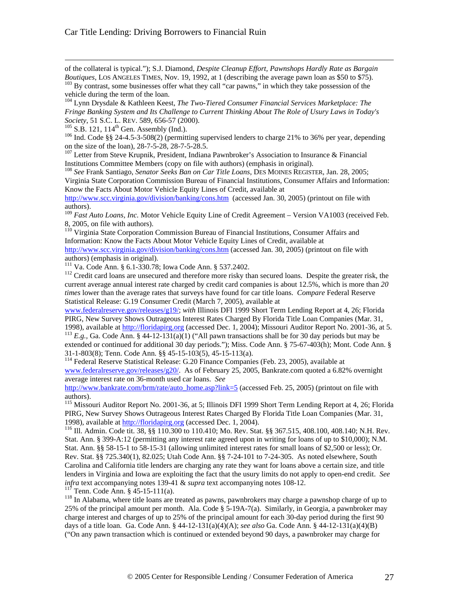of the collateral is typical."); S.J. Diamond, *Despite Cleanup Effort, Pawnshops Hardly Rate as Bargain Boutiques*, LOS ANGELES TIMES, Nov. 19, 1992, at 1 (describing the average pawn loan as \$50 to \$75).

<sup>103</sup> By contrast, some businesses offer what they call "car pawns," in which they take possession of the vehicle during the term of the loan.

<sup>104</sup> Lynn Drysdale & Kathleen Keest, *The Two-Tiered Consumer Financial Services Marketplace: The Fringe Banking System and Its Challenge to Current Thinking About The Role of Usury Laws in Today's Society*, 51 S.C. L. REV. 589, 656-57 (2000).

 $105$  S.B. 121, 114<sup>th</sup> Gen. Assembly (Ind.).

 $\overline{a}$ 

<sup>106</sup> Ind. Code §§ 24-4.5-3-508(2) (permitting supervised lenders to charge 21% to 36% per year, depending on the size of the loan), 28-7-5-28, 28-7-5-28.5.

<sup>107</sup> Letter from Steve Krupnik, President, Indiana Pawnbroker's Association to Insurance & Financial Institutions Committee Members (copy on file with authors) (emphasis in original).

<sup>108</sup> *See* Frank Santiago, *Senator Seeks Ban on Car Title Loans*, DES MOINES REGISTER, Jan. 28, 2005; Virginia State Corporation Commission Bureau of Financial Institutions, Consumer Affairs and Information: Know the Facts About Motor Vehicle Equity Lines of Credit, available at

http://www.scc.virginia.gov/division/banking/cons.htm (accessed Jan. 30, 2005) (printout on file with authors).

<sup>109</sup> Fast Auto Loans, Inc. Motor Vehicle Equity Line of Credit Agreement – Version VA1003 (received Feb. 8, 2005, on file with authors).

<sup>110</sup> Virginia State Corporation Commission Bureau of Financial Institutions, Consumer Affairs and Information: Know the Facts About Motor Vehicle Equity Lines of Credit, available at http://www.scc.virginia.gov/division/banking/cons.htm (accessed Jan. 30, 2005) (printout on file with authors) (emphasis in original).

<sup>111</sup> Va. Code Ann. § 6.1-330.78; Iowa Code Ann. § 537.2402.

<sup>112</sup> Credit card loans are unsecured and therefore more risky than secured loans. Despite the greater risk, the current average annual interest rate charged by credit card companies is about 12.5%, which is more than *20 times* lower than the average rates that surveys have found for car title loans. *Compare* Federal Reserve Statistical Release: G.19 Consumer Credit (March 7, 2005), available at

www.federalreserve.gov/releases/g19/; *with* Illinois DFI 1999 Short Term Lending Report at 4, 26; Florida PIRG, New Survey Shows Outrageous Interest Rates Charged By Florida Title Loan Companies (Mar. 31, 1998), available at http://floridapirg.org (accessed Dec. 1, 2004); Missouri Auditor Report No. 2001-36, at 5.

<sup>113</sup> *E.g.*, Ga. Code Ann. § 44-12-131(a)(1) ("All pawn transactions shall be for 30 day periods but may be extended or continued for additional 30 day periods."); Miss. Code Ann. § 75-67-403(h); Mont. Code Ann. § 31-1-803(8); Tenn. Code Ann. §§ 45-15-103(5), 45-15-113(a).

<sup>114</sup> Federal Reserve Statistical Release: G.20 Finance Companies (Feb. 23, 2005), available at www.federalreserve.gov/releases/g20/. As of February 25, 2005, Bankrate.com quoted a 6.82% overnight average interest rate on 36-month used car loans. *See* 

http://www.bankrate.com/brm/rate/auto\_home.asp?link=5 (accessed Feb. 25, 2005) (printout on file with authors).

<sup>115</sup> Missouri Auditor Report No. 2001-36, at 5; Illinois DFI 1999 Short Term Lending Report at 4, 26; Florida PIRG, New Survey Shows Outrageous Interest Rates Charged By Florida Title Loan Companies (Mar. 31, 1998), available at http://floridapirg.org (accessed Dec. 1, 2004).

<sup>116</sup> Ill. Admin. Code tit. 38, §§ 110.300 to 110.410; Mo. Rev. Stat. §§ 367.515, 408.100, 408.140; N.H. Rev. Stat. Ann. § 399-A:12 (permitting any interest rate agreed upon in writing for loans of up to \$10,000); N.M. Stat. Ann. §§ 58-15-1 to 58-15-31 (allowing unlimited interest rates for small loans of \$2,500 or less); Or. Rev. Stat. §§ 725.340(1), 82.025; Utah Code Ann. §§ 7-24-101 to 7-24-305. As noted elsewhere, South Carolina and California title lenders are charging any rate they want for loans above a certain size, and title lenders in Virginia and Iowa are exploiting the fact that the usury limits do not apply to open-end credit. *See infra* text accompanying notes 139-41 & *supra* text accompanying notes 108-12.

 $11^{7}$  Tenn. Code Ann. § 45-15-111(a).

<sup>118</sup> In Alabama, where title loans are treated as pawns, pawnbrokers may charge a pawnshop charge of up to 25% of the principal amount per month. Ala. Code § 5-19A-7(a). Similarly, in Georgia, a pawnbroker may charge interest and charges of up to 25% of the principal amount for each 30-day period during the first 90 days of a title loan. Ga. Code Ann. § 44-12-131(a)(4)(A); *see also* Ga. Code Ann. § 44-12-131(a)(4)(B) ("On any pawn transaction which is continued or extended beyond 90 days, a pawnbroker may charge for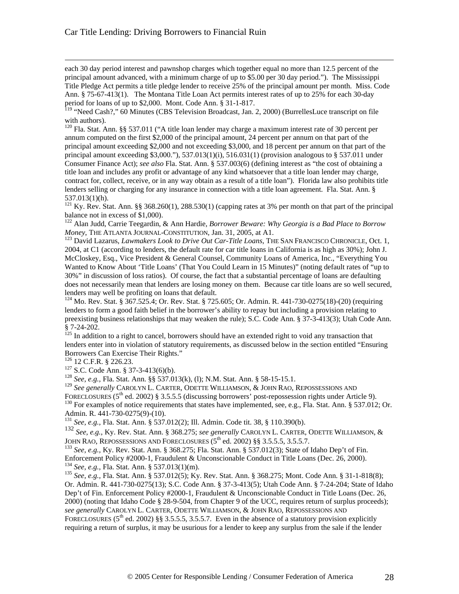each 30 day period interest and pawnshop charges which together equal no more than 12.5 percent of the principal amount advanced, with a minimum charge of up to \$5.00 per 30 day period."). The Mississippi Title Pledge Act permits a title pledge lender to receive 25% of the principal amount per month. Miss. Code Ann. § 75-67-413(1). The Montana Title Loan Act permits interest rates of up to 25% for each 30-day period for loans of up to \$2,000. Mont. Code Ann. § 31-1-817.

<sup>120</sup> Fla. Stat. Ann. §§ 537.011 ("A title loan lender may charge a maximum interest rate of 30 percent per annum computed on the first \$2,000 of the principal amount, 24 percent per annum on that part of the principal amount exceeding \$2,000 and not exceeding \$3,000, and 18 percent per annum on that part of the principal amount exceeding  $$3,000."$ ),  $537.013(1)(i)$ ,  $516.031(1)$  (provision analogous to  $§$  537.011 under Consumer Finance Act); *see also* Fla. Stat. Ann. § 537.003(6) (defining interest as "the cost of obtaining a title loan and includes any profit or advantage of any kind whatsoever that a title loan lender may charge, contract for, collect, receive, or in any way obtain as a result of a title loan"). Florida law also prohibits title lenders selling or charging for any insurance in connection with a title loan agreement. Fla. Stat. Ann. § 537.013(1)(h).

<sup>121</sup> Ky. Rev. Stat. Ann. §§ 368.260(1), 288.530(1) (capping rates at 3% per month on that part of the principal balance not in excess of \$1,000).

<sup>122</sup> Alan Judd, Carrie Teegardin, & Ann Hardie, *Borrower Beware: Why Georgia is a Bad Place to Borrow Money*, THE ATLANTA JOURNAL-CONSTITUTION, Jan. 31, 2005, at A1.

<sup>123</sup> David Lazarus, *Lawmakers Look to Drive Out Car-Title Loans*, THE SAN FRANCISCO CHRONICLE, Oct. 1, 2004, at C1 (according to lenders, the default rate for car title loans in California is as high as 30%); John J. McCloskey, Esq., Vice President & General Counsel, Community Loans of America, Inc., "Everything You Wanted to Know About 'Title Loans' (That You Could Learn in 15 Minutes)" (noting default rates of "up to 30%" in discussion of loss ratios). Of course, the fact that a substantial percentage of loans are defaulting does not necessarily mean that lenders are losing money on them. Because car title loans are so well secured, lenders may well be profiting on loans that default.

<sup>124</sup> Mo. Rev. Stat. § 367.525.4; Or. Rev. Stat. § 725.605; Or. Admin. R. 441-730-0275(18)-(20) (requiring lenders to form a good faith belief in the borrower's ability to repay but including a provision relating to preexisting business relationships that may weaken the rule); S.C. Code Ann. § 37-3-413(3); Utah Code Ann. § 7-24-202.

 $125$  In addition to a right to cancel, borrowers should have an extended right to void any transaction that lenders enter into in violation of statutory requirements, as discussed below in the section entitled "Ensuring Borrowers Can Exercise Their Rights."

<sup>126</sup> 12 C.F.R. § 226.23.

 $\overline{a}$ 

<sup>127</sup> S.C. Code Ann. § 37-3-413(6)(b).

<sup>128</sup> *See, e.g.,* Fla. Stat. Ann. §§ 537.013(k), (l); N.M. Stat. Ann. § 58-15-15.1.

<sup>129</sup> *See generally* CAROLYN L. CARTER, ODETTE WILLIAMSON, & JOHN RAO, REPOSSESSIONS AND FORECLOSURES (5<sup>th</sup> ed. 2002) § 3.5.5.5 (discussing borrowers<sup>'</sup> post-repossession rights under Article 9). <sup>130</sup> For examples of notice requirements that states have implemented, see, e.g., Fla. Stat. Ann. § 537.012; Or.

Admin. R. 441-730-0275(9)-(10).

<sup>131</sup> *See, e.g.,* Fla. Stat. Ann. § 537.012(2); Ill. Admin. Code tit. 38, § 110.390(b).

<sup>132</sup> *See, e.g.,* Ky. Rev. Stat. Ann. § 368.275; *see generally* CAROLYN L. CARTER, ODETTE WILLIAMSON, & JOHN RAO, REPOSSESSIONS AND FORECLOSURES  $(5^{th}$  ed. 2002) §§ 3.5.5.5, 3.5.5.7.

<sup>133</sup> *See, e.g.,* Ky. Rev. Stat. Ann. § 368.275; Fla. Stat. Ann. § 537.012(3); State of Idaho Dep't of Fin. Enforcement Policy #2000-1, Fraudulent & Unconscionable Conduct in Title Loans (Dec. 26, 2000). <sup>134</sup> *See, e.g.,* Fla. Stat. Ann. § 537.013(1)(m).

<sup>135</sup> *See, e.g.,* Fla. Stat. Ann. § 537.012(5); Ky. Rev. Stat. Ann. § 368.275; Mont. Code Ann. § 31-1-818(8); Or. Admin. R. 441-730-0275(13); S.C. Code Ann. § 37-3-413(5); Utah Code Ann. § 7-24-204; State of Idaho Dep't of Fin. Enforcement Policy #2000-1, Fraudulent & Unconscionable Conduct in Title Loans (Dec. 26, 2000) (noting that Idaho Code § 28-9-504, from Chapter 9 of the UCC, requires return of surplus proceeds); *see generally* CAROLYN L. CARTER, ODETTE WILLIAMSON, & JOHN RAO, REPOSSESSIONS AND FORECLOSURES ( $5<sup>th</sup>$  ed. 2002) §§ 3.5.5.5, 3.5.5.7. Even in the absence of a statutory provision explicitly requiring a return of surplus, it may be usurious for a lender to keep any surplus from the sale if the lender

<sup>&</sup>lt;sup>119</sup> "Need Cash?," 60 Minutes (CBS Television Broadcast, Jan. 2, 2000) (BurrellesLuce transcript on file with authors).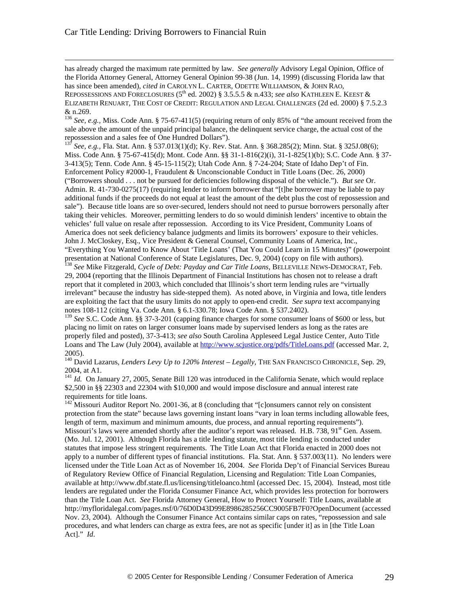$\overline{a}$ 

has already charged the maximum rate permitted by law. *See generally* Advisory Legal Opinion, Office of the Florida Attorney General, Attorney General Opinion 99-38 (Jun. 14, 1999) (discussing Florida law that has since been amended), *cited in* CAROLYN L. CARTER, ODETTE WILLIAMSON, & JOHN RAO, REPOSSESSIONS AND FORECLOSURES (5<sup>th</sup> ed. 2002) § 3.5.5.5 & n.433; *see also* KATHLEEN E. KEEST & ELIZABETH RENUART, THE COST OF CREDIT: REGULATION AND LEGAL CHALLENGES (2d ed. 2000) § 7.5.2.3 & n.269.

<sup>136</sup> *See, e.g., Miss. Code Ann.* § 75-67-411(5) (requiring return of only 85% of "the amount received from the sale above the amount of the unpaid principal balance, the delinquent service charge, the actual cost of the repossession and a sales fee of One Hundred Dollars").

<sup>137</sup> *See, e.g.,* Fla. Stat. Ann. § 537.013(1)(d); Ky. Rev. Stat. Ann. § 368.285(2); Minn. Stat. § 325J.08(6); Miss. Code Ann. § 75-67-415(d); Mont. Code Ann. §§ 31-1-816(2)(i), 31-1-825(1)(b); S.C. Code Ann. § 37- 3-413(5); Tenn. Code Ann. § 45-15-115(2); Utah Code Ann. § 7-24-204; State of Idaho Dep't of Fin. Enforcement Policy #2000-1, Fraudulent & Unconscionable Conduct in Title Loans (Dec. 26, 2000) ("Borrowers should . . . not be pursued for deficiencies following disposal of the vehicle."). *But see* Or. Admin. R. 41-730-0275(17) (requiring lender to inform borrower that "[t]he borrower may be liable to pay additional funds if the proceeds do not equal at least the amount of the debt plus the cost of repossession and sale"). Because title loans are so over-secured, lenders should not need to pursue borrowers personally after taking their vehicles. Moreover, permitting lenders to do so would diminish lenders' incentive to obtain the vehicles' full value on resale after repossession. According to its Vice President, Community Loans of America does not seek deficiency balance judgments and limits its borrowers' exposure to their vehicles. John J. McCloskey, Esq., Vice President & General Counsel, Community Loans of America, Inc., "Everything You Wanted to Know About 'Title Loans' (That You Could Learn in 15 Minutes)" (powerpoint presentation at National Conference of State Legislatures, Dec. 9, 2004) (copy on file with authors).

<sup>138</sup> *See* Mike Fitzgerald, *Cycle of Debt: Payday and Car Title Loans*, BELLEVILLE NEWS-DEMOCRAT, Feb. 29, 2004 (reporting that the Illinois Department of Financial Institutions has chosen not to release a draft report that it completed in 2003, which concluded that Illinois's short term lending rules are "virtually irrelevant" because the industry has side-stepped them). As noted above, in Virginia and Iowa, title lenders are exploiting the fact that the usury limits do not apply to open-end credit. *See supra* text accompanying notes 108-112 (citing Va. Code Ann. § 6.1-330.78; Iowa Code Ann. § 537.2402).

<sup>139</sup> See S.C. Code Ann. §§ 37-3-201 (capping finance charges for some consumer loans of \$600 or less, but placing no limit on rates on larger consumer loans made by supervised lenders as long as the rates are properly filed and posted), 37-3-413; *see also* South Carolina Appleseed Legal Justice Center, Auto Title Loans and The Law (July 2004), available at http://www.scjustice.org/pdfs/TitleLoans.pdf (accessed Mar. 2, 2005).

<sup>140</sup> David Lazarus, *Lenders Levy Up to 120% Interest – Legally*, THE SAN FRANCISCO CHRONICLE, Sep. 29, 2004, at A1.

<sup>141</sup> *Id.* On January 27, 2005, Senate Bill 120 was introduced in the California Senate, which would replace \$2,500 in §§ 22303 and 22304 with \$10,000 and would impose disclosure and annual interest rate requirements for title loans.

 $142$ <sup>142</sup> Missouri Auditor Report No. 2001-36, at 8 (concluding that "[c]onsumers cannot rely on consistent protection from the state" because laws governing instant loans "vary in loan terms including allowable fees, length of term, maximum and minimum amounts, due process, and annual reporting requirements"). Missouri's laws were amended shortly after the auditor's report was released. H.B. 738, 91<sup>st</sup> Gen. Assem. (Mo. Jul. 12, 2001). Although Florida has a title lending statute, most title lending is conducted under statutes that impose less stringent requirements. The Title Loan Act that Florida enacted in 2000 does not apply to a number of different types of financial institutions. Fla. Stat. Ann. § 537.003(11). No lenders were licensed under the Title Loan Act as of November 16, 2004. *See* Florida Dep't of Financial Services Bureau of Regulatory Review Office of Financial Regulation, Licensing and Regulation: Title Loan Companies, available at http://www.dbf.state.fl.us/licensing/titleloanco.html (accessed Dec. 15, 2004). Instead, most title lenders are regulated under the Florida Consumer Finance Act, which provides less protection for borrowers than the Title Loan Act. *See* Florida Attorney General, How to Protect Yourself: Title Loans, available at http://myfloridalegal.com/pages.nsf/0/76D0D43D99E8986285256CC9005FB7F0?OpenDocument (accessed Nov. 23, 2004). Although the Consumer Finance Act contains similar caps on rates, "repossession and sale procedures, and what lenders can charge as extra fees, are not as specific [under it] as in [the Title Loan Act]." *Id*.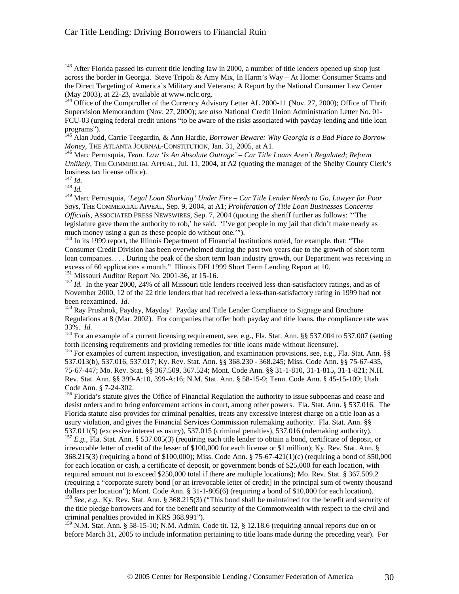<sup>143</sup> After Florida passed its current title lending law in 2000, a number of title lenders opened up shop just across the border in Georgia. Steve Tripoli & Amy Mix, In Harm's Way – At Home: Consumer Scams and the Direct Targeting of America's Military and Veterans: A Report by the National Consumer Law Center (May 2003), at 22-23, available at www.nclc.org.

<sup>144</sup> Office of the Comptroller of the Currency Advisory Letter AL 2000-11 (Nov. 27, 2000); Office of Thrift Supervision Memorandum (Nov. 27, 2000); *see also* National Credit Union Administration Letter No. 01- FCU-03 (urging federal credit unions "to be aware of the risks associated with payday lending and title loan programs").

<sup>145</sup> Alan Judd, Carrie Teegardin, & Ann Hardie, *Borrower Beware: Why Georgia is a Bad Place to Borrow Money*, THE ATLANTA JOURNAL-CONSTITUTION, Jan. 31, 2005, at A1.

<sup>146</sup> Marc Perrusquia, *Tenn. Law 'Is An Absolute Outrage' – Car Title Loans Aren't Regulated; Reform Unlikely*, THE COMMERCIAL APPEAL, Jul. 11, 2004, at A2 (quoting the manager of the Shelby County Clerk's business tax license office).

<sup>147</sup> *Id*.

 $\overline{a}$ 

 $148$   $\frac{1}{1}$ .

<sup>149</sup> Marc Perrusquia, *'Legal Loan Sharking' Under Fire – Car Title Lender Needs to Go, Lawyer for Poor Says*, THE COMMERCIAL APPEAL, Sep. 9, 2004, at A1; *Proliferation of Title Loan Businesses Concerns Officials*, ASSOCIATED PRESS NEWSWIRES, Sep. 7, 2004 (quoting the sheriff further as follows: "'The legislature gave them the authority to rob,' he said. 'I've got people in my jail that didn't make nearly as much money using a gun as these people do without one.'").

<sup>150</sup> In its 1999 report, the Illinois Department of Financial Institutions noted, for example, that: "The Consumer Credit Division has been overwhelmed during the past two years due to the growth of short term loan companies. . . . During the peak of the short term loan industry growth, our Department was receiving in excess of 60 applications a month." Illinois DFI 1999 Short Term Lending Report at 10. <sup>151</sup> Missouri Auditor Report No. 2001-36, at 15-16.

<sup>152</sup> *Id.* In the year 2000, 24% of all Missouri title lenders received less-than-satisfactory ratings, and as of November 2000, 12 of the 22 title lenders that had received a less-than-satisfactory rating in 1999 had not been reexamined. *Id.*

<sup>153</sup> Ray Prushnok, Payday, Mayday! Payday and Title Lender Compliance to Signage and Brochure Regulations at 8 (Mar. 2002). For companies that offer both payday and title loans, the compliance rate was 33%. *Id.*

<sup>154</sup> For an example of a current licensing requirement, see, e.g., Fla. Stat. Ann. §§ 537.004 to 537.007 (setting forth licensing requirements and providing remedies for title loans made without licensure).

<sup>155</sup> For examples of current inspection, investigation, and examination provisions, see, e.g., Fla. Stat. Ann. §§ 537.013(b), 537.016, 537.017; Ky. Rev. Stat. Ann. §§ 368.230 - 368.245; Miss. Code Ann. §§ 75-67-435, 75-67-447; Mo. Rev. Stat. §§ 367.509, 367.524; Mont. Code Ann. §§ 31-1-810, 31-1-815, 31-1-821; N.H. Rev. Stat. Ann. §§ 399-A:10, 399-A:16; N.M. Stat. Ann. § 58-15-9; Tenn. Code Ann. § 45-15-109; Utah Code Ann. § 7-24-302.

<sup>156</sup> Florida's statute gives the Office of Financial Regulation the authority to issue subpoenas and cease and desist orders and to bring enforcement actions in court, among other powers. Fla. Stat. Ann. § 537.016. The Florida statute also provides for criminal penalties, treats any excessive interest charge on a title loan as a usury violation, and gives the Financial Services Commission rulemaking authority. Fla. Stat. Ann. §§ 537.011(5) (excessive interest as usury), 537.015 (criminal penalties), 537.016 (rulemaking authority).

<sup>157</sup> *E.g.*, Fla. Stat. Ann. § 537.005(3) (requiring each title lender to obtain a bond, certificate of deposit, or irrevocable letter of credit of the lesser of \$100,000 for each license or \$1 million); Ky. Rev. Stat. Ann. § 368.215(3) (requiring a bond of \$100,000); Miss. Code Ann. § 75-67-421(1)(c) (requiring a bond of \$50,000 for each location or cash, a certificate of deposit, or government bonds of \$25,000 for each location, with required amount not to exceed \$250,000 total if there are multiple locations); Mo. Rev. Stat. § 367.509.2 (requiring a "corporate surety bond [or an irrevocable letter of credit] in the principal sum of twenty thousand dollars per location"); Mont. Code Ann. § 31-1-805(6) (requiring a bond of \$10,000 for each location).

<sup>158</sup> *See, e.g., Ky. Rev. Stat. Ann.* § 368.215(3) ("This bond shall be maintained for the benefit and security of the title pledge borrowers and for the benefit and security of the Commonwealth with respect to the civil and criminal penalties provided in KRS 368.991").

<sup>159</sup> N.M. Stat. Ann. § 58-15-10; N.M. Admin. Code tit. 12, § 12.18.6 (requiring annual reports due on or before March 31, 2005 to include information pertaining to title loans made during the preceding year). For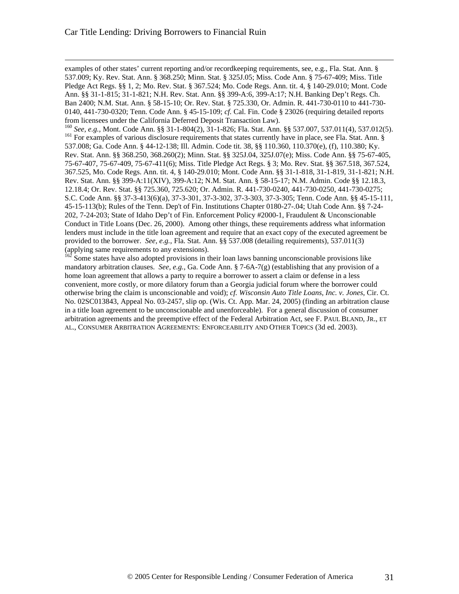$\overline{a}$ 

examples of other states' current reporting and/or recordkeeping requirements, see, e.g., Fla. Stat. Ann. § 537.009; Ky. Rev. Stat. Ann. § 368.250; Minn. Stat. § 325J.05; Miss. Code Ann. § 75-67-409; Miss. Title Pledge Act Regs. §§ 1, 2; Mo. Rev. Stat. § 367.524; Mo. Code Regs. Ann. tit. 4, § 140-29.010; Mont. Code Ann. §§ 31-1-815; 31-1-821; N.H. Rev. Stat. Ann. §§ 399-A:6, 399-A:17; N.H. Banking Dep't Regs. Ch. Ban 2400; N.M. Stat. Ann. § 58-15-10; Or. Rev. Stat. § 725.330, Or. Admin. R. 441-730-0110 to 441-730- 0140, 441-730-0320; Tenn. Code Ann. § 45-15-109; *cf.* Cal. Fin. Code § 23026 (requiring detailed reports from licensees under the California Deferred Deposit Transaction Law).

<sup>160</sup> *See, e.g.,* Mont. Code Ann. §§ 31-1-804(2), 31-1-826; Fla. Stat. Ann. §§ 537.007, 537.011(4), 537.012(5). <sup>161</sup> For examples of various disclosure requirements that states currently have in place, see Fla. Stat. Ann. § 537.008; Ga. Code Ann. § 44-12-138; Ill. Admin. Code tit. 38, §§ 110.360, 110.370(e), (f), 110.380; Ky. Rev. Stat. Ann. §§ 368.250, 368.260(2); Minn. Stat. §§ 325J.04, 325J.07(e); Miss. Code Ann. §§ 75-67-405, 75-67-407, 75-67-409, 75-67-411(6); Miss. Title Pledge Act Regs. § 3; Mo. Rev. Stat. §§ 367.518, 367.524, 367.525, Mo. Code Regs. Ann. tit. 4, § 140-29.010; Mont. Code Ann. §§ 31-1-818, 31-1-819, 31-1-821; N.H. Rev. Stat. Ann. §§ 399-A:11(XIV), 399-A:12; N.M. Stat. Ann. § 58-15-17; N.M. Admin. Code §§ 12.18.3, 12.18.4; Or. Rev. Stat. §§ 725.360, 725.620; Or. Admin. R. 441-730-0240, 441-730-0250, 441-730-0275; S.C. Code Ann. §§ 37-3-413(6)(a), 37-3-301, 37-3-302, 37-3-303, 37-3-305; Tenn. Code Ann. §§ 45-15-111, 45-15-113(b); Rules of the Tenn. Dep't of Fin. Institutions Chapter 0180-27-.04; Utah Code Ann. §§ 7-24- 202, 7-24-203; State of Idaho Dep't of Fin. Enforcement Policy #2000-1, Fraudulent & Unconscionable Conduct in Title Loans (Dec. 26, 2000). Among other things, these requirements address what information lenders must include in the title loan agreement and require that an exact copy of the executed agreement be provided to the borrower. *See, e.g.,* Fla. Stat. Ann. §§ 537.008 (detailing requirements), 537.011(3) (applying same requirements to any extensions).

 $162$  Some states have also adopted provisions in their loan laws banning unconscionable provisions like mandatory arbitration clauses. *See, e.g.,* Ga. Code Ann. § 7-6A-7(g) (establishing that any provision of a home loan agreement that allows a party to require a borrower to assert a claim or defense in a less convenient, more costly, or more dilatory forum than a Georgia judicial forum where the borrower could otherwise bring the claim is unconscionable and void); *cf. Wisconsin Auto Title Loans, Inc. v. Jones*, Cir. Ct. No. 02SC013843, Appeal No. 03-2457, slip op. (Wis. Ct. App. Mar. 24, 2005) (finding an arbitration clause in a title loan agreement to be unconscionable and unenforceable). For a general discussion of consumer arbitration agreements and the preemptive effect of the Federal Arbitration Act, see F. PAUL BLAND, JR., ET AL., CONSUMER ARBITRATION AGREEMENTS: ENFORCEABILITY AND OTHER TOPICS (3d ed. 2003).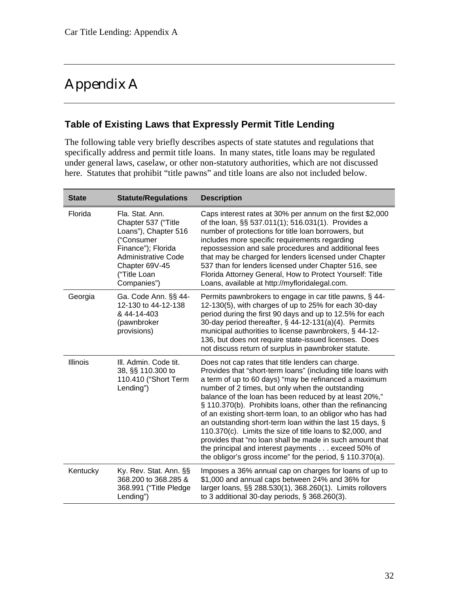## Appendix A

#### **Table of Existing Laws that Expressly Permit Title Lending**

The following table very briefly describes aspects of state statutes and regulations that specifically address and permit title loans. In many states, title loans may be regulated under general laws, caselaw, or other non-statutory authorities, which are not discussed here. Statutes that prohibit "title pawns" and title loans are also not included below.

| <b>State</b> | <b>Statute/Regulations</b>                                                                                                                                                        | <b>Description</b>                                                                                                                                                                                                                                                                                                                                                                                                                                                                                                                                                                                                                                                                                                             |
|--------------|-----------------------------------------------------------------------------------------------------------------------------------------------------------------------------------|--------------------------------------------------------------------------------------------------------------------------------------------------------------------------------------------------------------------------------------------------------------------------------------------------------------------------------------------------------------------------------------------------------------------------------------------------------------------------------------------------------------------------------------------------------------------------------------------------------------------------------------------------------------------------------------------------------------------------------|
| Florida      | Fla. Stat. Ann.<br>Chapter 537 ("Title<br>Loans"), Chapter 516<br>("Consumer<br>Finance"); Florida<br><b>Administrative Code</b><br>Chapter 69V-45<br>("Title Loan<br>Companies") | Caps interest rates at 30% per annum on the first \$2,000<br>of the loan, §§ 537.011(1); 516.031(1). Provides a<br>number of protections for title loan borrowers, but<br>includes more specific requirements regarding<br>repossession and sale procedures and additional fees<br>that may be charged for lenders licensed under Chapter<br>537 than for lenders licensed under Chapter 516, see<br>Florida Attorney General, How to Protect Yourself: Title<br>Loans, available at http://myfloridalegal.com.                                                                                                                                                                                                                |
| Georgia      | Ga. Code Ann. §§ 44-<br>12-130 to 44-12-138<br>& 44-14-403<br>(pawnbroker<br>provisions)                                                                                          | Permits pawnbrokers to engage in car title pawns, § 44-<br>12-130(5), with charges of up to 25% for each 30-day<br>period during the first 90 days and up to 12.5% for each<br>30-day period thereafter, § 44-12-131(a)(4). Permits<br>municipal authorities to license pawnbrokers, § 44-12-<br>136, but does not require state-issued licenses. Does<br>not discuss return of surplus in pawnbroker statute.                                                                                                                                                                                                                                                                                                                 |
| Illinois     | III. Admin. Code tit.<br>38, §§ 110.300 to<br>110.410 ("Short Term<br>Lending")                                                                                                   | Does not cap rates that title lenders can charge.<br>Provides that "short-term loans" (including title loans with<br>a term of up to 60 days) "may be refinanced a maximum<br>number of 2 times, but only when the outstanding<br>balance of the loan has been reduced by at least 20%,"<br>§ 110.370(b). Prohibits loans, other than the refinancing<br>of an existing short-term loan, to an obligor who has had<br>an outstanding short-term loan within the last 15 days, §<br>110.370(c). Limits the size of title loans to \$2,000, and<br>provides that "no loan shall be made in such amount that<br>the principal and interest payments exceed 50% of<br>the obligor's gross income" for the period, $\S$ 110.370(a). |
| Kentucky     | Ky. Rev. Stat. Ann. §§<br>368.200 to 368.285 &<br>368.991 ("Title Pledge<br>Lending")                                                                                             | Imposes a 36% annual cap on charges for loans of up to<br>\$1,000 and annual caps between 24% and 36% for<br>larger loans, §§ 288.530(1), 368.260(1). Limits rollovers<br>to 3 additional 30-day periods, $\S$ 368.260(3).                                                                                                                                                                                                                                                                                                                                                                                                                                                                                                     |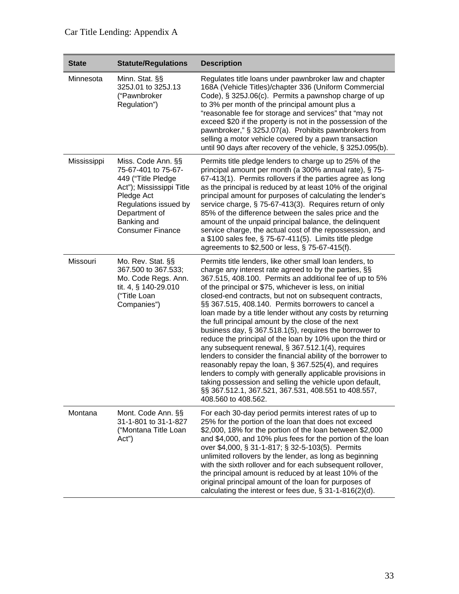| <b>State</b> | <b>Statute/Regulations</b>                                                                                                                                                                    | <b>Description</b>                                                                                                                                                                                                                                                                                                                                                                                                                                                                                                                                                                                                                                                                                                                                                                                                                                                                                                                                                                       |
|--------------|-----------------------------------------------------------------------------------------------------------------------------------------------------------------------------------------------|------------------------------------------------------------------------------------------------------------------------------------------------------------------------------------------------------------------------------------------------------------------------------------------------------------------------------------------------------------------------------------------------------------------------------------------------------------------------------------------------------------------------------------------------------------------------------------------------------------------------------------------------------------------------------------------------------------------------------------------------------------------------------------------------------------------------------------------------------------------------------------------------------------------------------------------------------------------------------------------|
| Minnesota    | Minn. Stat. §§<br>325J.01 to 325J.13<br>("Pawnbroker<br>Regulation")                                                                                                                          | Regulates title loans under pawnbroker law and chapter<br>168A (Vehicle Titles)/chapter 336 (Uniform Commercial<br>Code), § 325J.06(c). Permits a pawnshop charge of up<br>to 3% per month of the principal amount plus a<br>"reasonable fee for storage and services" that "may not<br>exceed \$20 if the property is not in the possession of the<br>pawnbroker," § 325J.07(a). Prohibits pawnbrokers from<br>selling a motor vehicle covered by a pawn transaction<br>until 90 days after recovery of the vehicle, § 325J.095(b).                                                                                                                                                                                                                                                                                                                                                                                                                                                     |
| Mississippi  | Miss. Code Ann. §§<br>75-67-401 to 75-67-<br>449 ("Title Pledge<br>Act"); Mississippi Title<br>Pledge Act<br>Regulations issued by<br>Department of<br>Banking and<br><b>Consumer Finance</b> | Permits title pledge lenders to charge up to 25% of the<br>principal amount per month (a 300% annual rate), § 75-<br>67-413(1). Permits rollovers if the parties agree as long<br>as the principal is reduced by at least 10% of the original<br>principal amount for purposes of calculating the lender's<br>service charge, § 75-67-413(3). Requires return of only<br>85% of the difference between the sales price and the<br>amount of the unpaid principal balance, the delinquent<br>service charge, the actual cost of the repossession, and<br>a \$100 sales fee, § 75-67-411(5). Limits title pledge<br>agreements to \$2,500 or less, § 75-67-415(f).                                                                                                                                                                                                                                                                                                                         |
| Missouri     | Mo. Rev. Stat. §§<br>367.500 to 367.533;<br>Mo. Code Regs. Ann.<br>tit. 4, § 140-29.010<br>("Title Loan<br>Companies")                                                                        | Permits title lenders, like other small loan lenders, to<br>charge any interest rate agreed to by the parties, §§<br>367.515, 408.100. Permits an additional fee of up to 5%<br>of the principal or \$75, whichever is less, on initial<br>closed-end contracts, but not on subsequent contracts,<br>§§ 367.515, 408.140. Permits borrowers to cancel a<br>loan made by a title lender without any costs by returning<br>the full principal amount by the close of the next<br>business day, $\S$ 367.518.1(5), requires the borrower to<br>reduce the principal of the loan by 10% upon the third or<br>any subsequent renewal, § 367.512.1(4), requires<br>lenders to consider the financial ability of the borrower to<br>reasonably repay the loan, § 367.525(4), and requires<br>lenders to comply with generally applicable provisions in<br>taking possession and selling the vehicle upon default,<br>§§ 367.512.1, 367.521, 367.531, 408.551 to 408.557,<br>408.560 to 408.562. |
| Montana      | Mont. Code Ann. §§<br>31-1-801 to 31-1-827<br>("Montana Title Loan<br>Act")                                                                                                                   | For each 30-day period permits interest rates of up to<br>25% for the portion of the loan that does not exceed<br>\$2,000, 18% for the portion of the loan between \$2,000<br>and \$4,000, and 10% plus fees for the portion of the loan<br>over \$4,000, § 31-1-817; § 32-5-103(5). Permits<br>unlimited rollovers by the lender, as long as beginning<br>with the sixth rollover and for each subsequent rollover,<br>the principal amount is reduced by at least 10% of the<br>original principal amount of the loan for purposes of<br>calculating the interest or fees due, $\S 31-1-816(2)(d)$ .                                                                                                                                                                                                                                                                                                                                                                                   |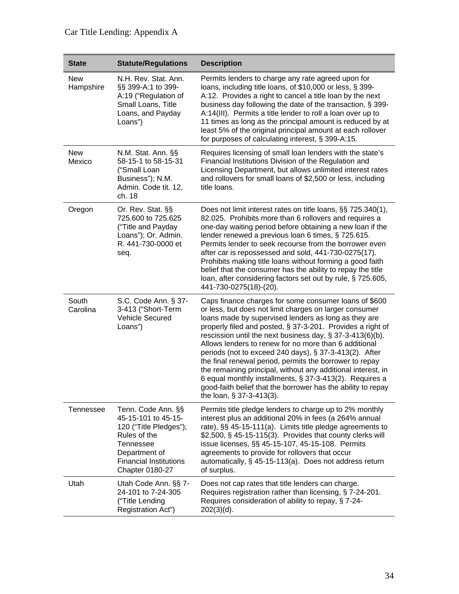## Car Title Lending: Appendix A

| <b>State</b>            | <b>Statute/Regulations</b>                                                                                                                                                   | <b>Description</b>                                                                                                                                                                                                                                                                                                                                                                                                                                                                                                                                                                                                                                                                                          |
|-------------------------|------------------------------------------------------------------------------------------------------------------------------------------------------------------------------|-------------------------------------------------------------------------------------------------------------------------------------------------------------------------------------------------------------------------------------------------------------------------------------------------------------------------------------------------------------------------------------------------------------------------------------------------------------------------------------------------------------------------------------------------------------------------------------------------------------------------------------------------------------------------------------------------------------|
| <b>New</b><br>Hampshire | N.H. Rev. Stat. Ann.<br>§§ 399-A:1 to 399-<br>A:19 ("Regulation of<br>Small Loans, Title<br>Loans, and Payday<br>Loans")                                                     | Permits lenders to charge any rate agreed upon for<br>loans, including title loans, of \$10,000 or less, § 399-<br>A:12. Provides a right to cancel a title loan by the next<br>business day following the date of the transaction, § 399-<br>A:14(III). Permits a title lender to roll a loan over up to<br>11 times as long as the principal amount is reduced by at<br>least 5% of the original principal amount at each rollover<br>for purposes of calculating interest, § 399-A:15.                                                                                                                                                                                                                   |
| <b>New</b><br>Mexico    | N.M. Stat. Ann. §§<br>58-15-1 to 58-15-31<br>("Small Loan<br>Business"); N.M.<br>Admin. Code tit. 12,<br>ch. 18                                                              | Requires licensing of small loan lenders with the state's<br>Financial Institutions Division of the Regulation and<br>Licensing Department, but allows unlimited interest rates<br>and rollovers for small loans of \$2,500 or less, including<br>title loans.                                                                                                                                                                                                                                                                                                                                                                                                                                              |
| Oregon                  | Or. Rev. Stat. §§<br>725.600 to 725.625<br>("Title and Payday<br>Loans"); Or. Admin.<br>R. 441-730-0000 et<br>seq.                                                           | Does not limit interest rates on title loans, §§ 725.340(1),<br>82.025. Prohibits more than 6 rollovers and requires a<br>one-day waiting period before obtaining a new loan if the<br>lender renewed a previous loan 6 times, § 725.615.<br>Permits lender to seek recourse from the borrower even<br>after car is repossessed and sold, 441-730-0275(17).<br>Prohibits making title loans without forming a good faith<br>belief that the consumer has the ability to repay the title<br>loan, after considering factors set out by rule, § 725.605,<br>441-730-0275(18)-(20).                                                                                                                            |
| South<br>Carolina       | S.C. Code Ann. § 37-<br>3-413 ("Short-Term<br><b>Vehicle Secured</b><br>Loans")                                                                                              | Caps finance charges for some consumer loans of \$600<br>or less, but does not limit charges on larger consumer<br>loans made by supervised lenders as long as they are<br>properly filed and posted, § 37-3-201. Provides a right of<br>rescission until the next business day, $\S 37-3-413(6)(b)$ .<br>Allows lenders to renew for no more than 6 additional<br>periods (not to exceed 240 days), § 37-3-413(2). After<br>the final renewal period, permits the borrower to repay<br>the remaining principal, without any additional interest, in<br>6 equal monthly installments, § 37-3-413(2). Requires a<br>good-faith belief that the borrower has the ability to repay<br>the loan, § 37-3-413(3). |
| Tennessee               | Tenn. Code Ann. §§<br>45-15-101 to 45-15-<br>120 ("Title Pledges");<br>Rules of the<br><b>Tennessee</b><br>Department of<br><b>Financial Institutions</b><br>Chapter 0180-27 | Permits title pledge lenders to charge up to 2% monthly<br>interest plus an additional 20% in fees (a 264% annual<br>rate), §§ 45-15-111(a). Limits title pledge agreements to<br>$$2,500, \S 45-15-115(3)$ . Provides that county clerks will<br>issue licenses, §§ 45-15-107, 45-15-108. Permits<br>agreements to provide for rollovers that occur<br>automatically, § 45-15-113(a). Does not address return<br>of surplus.                                                                                                                                                                                                                                                                               |
| Utah                    | Utah Code Ann. §§ 7-<br>24-101 to 7-24-305<br>("Title Lending<br>Registration Act")                                                                                          | Does not cap rates that title lenders can charge.<br>Requires registration rather than licensing, § 7-24-201.<br>Requires consideration of ability to repay, § 7-24-<br>$202(3)(d)$ .                                                                                                                                                                                                                                                                                                                                                                                                                                                                                                                       |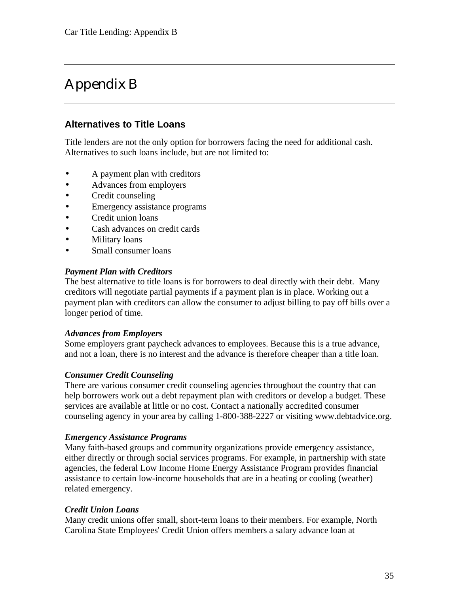## Appendix B

#### **Alternatives to Title Loans**

Title lenders are not the only option for borrowers facing the need for additional cash. Alternatives to such loans include, but are not limited to:

- A payment plan with creditors
- Advances from employers
- Credit counseling
- Emergency assistance programs
- Credit union loans
- Cash advances on credit cards
- Military loans
- Small consumer loans

#### *Payment Plan with Creditors*

The best alternative to title loans is for borrowers to deal directly with their debt. Many creditors will negotiate partial payments if a payment plan is in place. Working out a payment plan with creditors can allow the consumer to adjust billing to pay off bills over a longer period of time.

#### *Advances from Employers*

Some employers grant paycheck advances to employees. Because this is a true advance, and not a loan, there is no interest and the advance is therefore cheaper than a title loan.

#### *Consumer Credit Counseling*

There are various consumer credit counseling agencies throughout the country that can help borrowers work out a debt repayment plan with creditors or develop a budget. These services are available at little or no cost. Contact a nationally accredited consumer counseling agency in your area by calling 1-800-388-2227 or visiting www.debtadvice.org.

#### *Emergency Assistance Programs*

Many faith-based groups and community organizations provide emergency assistance, either directly or through social services programs. For example, in partnership with state agencies, the federal Low Income Home Energy Assistance Program provides financial assistance to certain low-income households that are in a heating or cooling (weather) related emergency.

#### *Credit Union Loans*

Many credit unions offer small, short-term loans to their members. For example, North Carolina State Employees' Credit Union offers members a salary advance loan at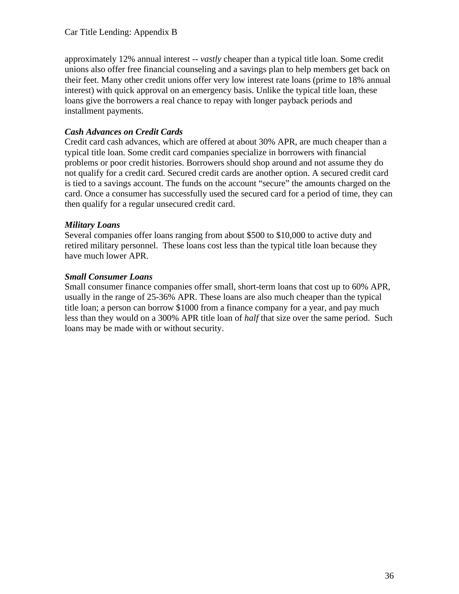approximately 12% annual interest -- *vastly* cheaper than a typical title loan. Some credit unions also offer free financial counseling and a savings plan to help members get back on their feet. Many other credit unions offer very low interest rate loans (prime to 18% annual interest) with quick approval on an emergency basis. Unlike the typical title loan, these loans give the borrowers a real chance to repay with longer payback periods and installment payments.

#### *Cash Advances on Credit Cards*

Credit card cash advances, which are offered at about 30% APR, are much cheaper than a typical title loan. Some credit card companies specialize in borrowers with financial problems or poor credit histories. Borrowers should shop around and not assume they do not qualify for a credit card. Secured credit cards are another option. A secured credit card is tied to a savings account. The funds on the account "secure" the amounts charged on the card. Once a consumer has successfully used the secured card for a period of time, they can then qualify for a regular unsecured credit card.

#### *Military Loans*

Several companies offer loans ranging from about \$500 to \$10,000 to active duty and retired military personnel. These loans cost less than the typical title loan because they have much lower APR.

#### *Small Consumer Loans*

Small consumer finance companies offer small, short-term loans that cost up to 60% APR, usually in the range of 25-36% APR. These loans are also much cheaper than the typical title loan; a person can borrow \$1000 from a finance company for a year, and pay much less than they would on a 300% APR title loan of *half* that size over the same period. Such loans may be made with or without security.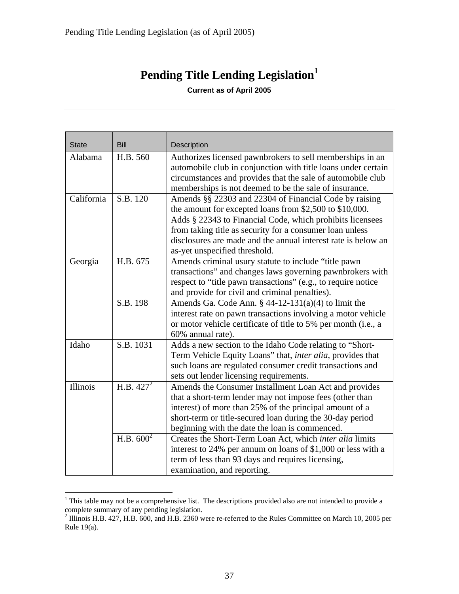## **Pending Title Lending Legislation 1**

**Current as of April 2005**

| <b>State</b>    | <b>Bill</b>           | Description                                                                                                            |
|-----------------|-----------------------|------------------------------------------------------------------------------------------------------------------------|
| Alabama         | H.B. 560              | Authorizes licensed pawnbrokers to sell memberships in an                                                              |
|                 |                       | automobile club in conjunction with title loans under certain                                                          |
|                 |                       | circumstances and provides that the sale of automobile club                                                            |
|                 |                       | memberships is not deemed to be the sale of insurance.                                                                 |
| California      | S.B. 120              | Amends §§ 22303 and 22304 of Financial Code by raising                                                                 |
|                 |                       | the amount for excepted loans from \$2,500 to \$10,000.                                                                |
|                 |                       | Adds § 22343 to Financial Code, which prohibits licensees                                                              |
|                 |                       | from taking title as security for a consumer loan unless                                                               |
|                 |                       | disclosures are made and the annual interest rate is below an                                                          |
|                 |                       | as-yet unspecified threshold.                                                                                          |
| Georgia         | H.B. 675              | Amends criminal usury statute to include "title pawn"                                                                  |
|                 |                       | transactions" and changes laws governing pawnbrokers with                                                              |
|                 |                       | respect to "title pawn transactions" (e.g., to require notice                                                          |
|                 |                       | and provide for civil and criminal penalties).                                                                         |
|                 | S.B. 198              | Amends Ga. Code Ann. $\S$ 44-12-131(a)(4) to limit the                                                                 |
|                 |                       | interest rate on pawn transactions involving a motor vehicle                                                           |
|                 |                       | or motor vehicle certificate of title to 5% per month (i.e., a                                                         |
| Idaho           | S.B. 1031             | 60% annual rate).                                                                                                      |
|                 |                       | Adds a new section to the Idaho Code relating to "Short-<br>Term Vehicle Equity Loans" that, inter alia, provides that |
|                 |                       | such loans are regulated consumer credit transactions and                                                              |
|                 |                       | sets out lender licensing requirements.                                                                                |
| <b>Illinois</b> | H.B. $427^2$          | Amends the Consumer Installment Loan Act and provides                                                                  |
|                 |                       | that a short-term lender may not impose fees (other than                                                               |
|                 |                       | interest) of more than 25% of the principal amount of a                                                                |
|                 |                       | short-term or title-secured loan during the 30-day period                                                              |
|                 |                       | beginning with the date the loan is commenced.                                                                         |
|                 | H.B. 600 <sup>2</sup> | Creates the Short-Term Loan Act, which inter alia limits                                                               |
|                 |                       | interest to 24% per annum on loans of \$1,000 or less with a                                                           |
|                 |                       | term of less than 93 days and requires licensing,                                                                      |
|                 |                       | examination, and reporting.                                                                                            |

<sup>&</sup>lt;sup>1</sup> This table may not be a comprehensive list. The descriptions provided also are not intended to provide a

complete summary of any pending legislation. 2 Illinois H.B. 427, H.B. 600, and H.B. 2360 were re-referred to the Rules Committee on March 10, 2005 per Rule 19(a).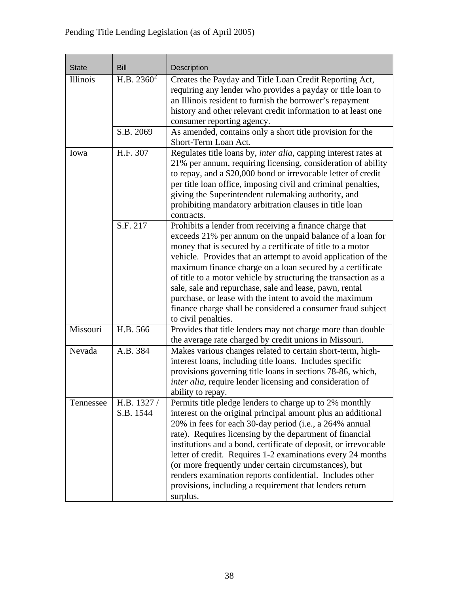| <b>State</b>    | <b>Bill</b>              | Description                                                                                                                                                                                                                                                                                                                                                                                                                                                                                                                                                                                     |
|-----------------|--------------------------|-------------------------------------------------------------------------------------------------------------------------------------------------------------------------------------------------------------------------------------------------------------------------------------------------------------------------------------------------------------------------------------------------------------------------------------------------------------------------------------------------------------------------------------------------------------------------------------------------|
| <b>Illinois</b> | H.B. $2360^2$            | Creates the Payday and Title Loan Credit Reporting Act,<br>requiring any lender who provides a payday or title loan to<br>an Illinois resident to furnish the borrower's repayment<br>history and other relevant credit information to at least one<br>consumer reporting agency.                                                                                                                                                                                                                                                                                                               |
|                 | S.B. 2069                | As amended, contains only a short title provision for the<br>Short-Term Loan Act.                                                                                                                                                                                                                                                                                                                                                                                                                                                                                                               |
| Iowa            | H.F. 307                 | Regulates title loans by, inter alia, capping interest rates at<br>21% per annum, requiring licensing, consideration of ability<br>to repay, and a \$20,000 bond or irrevocable letter of credit<br>per title loan office, imposing civil and criminal penalties,<br>giving the Superintendent rulemaking authority, and<br>prohibiting mandatory arbitration clauses in title loan<br>contracts.                                                                                                                                                                                               |
|                 | S.F. 217                 | Prohibits a lender from receiving a finance charge that<br>exceeds 21% per annum on the unpaid balance of a loan for<br>money that is secured by a certificate of title to a motor<br>vehicle. Provides that an attempt to avoid application of the<br>maximum finance charge on a loan secured by a certificate<br>of title to a motor vehicle by structuring the transaction as a<br>sale, sale and repurchase, sale and lease, pawn, rental<br>purchase, or lease with the intent to avoid the maximum<br>finance charge shall be considered a consumer fraud subject<br>to civil penalties. |
| Missouri        | H.B. 566                 | Provides that title lenders may not charge more than double<br>the average rate charged by credit unions in Missouri.                                                                                                                                                                                                                                                                                                                                                                                                                                                                           |
| Nevada          | A.B. 384                 | Makes various changes related to certain short-term, high-<br>interest loans, including title loans. Includes specific<br>provisions governing title loans in sections 78-86, which,<br>inter alia, require lender licensing and consideration of<br>ability to repay.                                                                                                                                                                                                                                                                                                                          |
| Tennessee       | H.B. 1327 /<br>S.B. 1544 | Permits title pledge lenders to charge up to 2% monthly<br>interest on the original principal amount plus an additional<br>20% in fees for each 30-day period (i.e., a 264% annual<br>rate). Requires licensing by the department of financial<br>institutions and a bond, certificate of deposit, or irrevocable<br>letter of credit. Requires 1-2 examinations every 24 months<br>(or more frequently under certain circumstances), but<br>renders examination reports confidential. Includes other<br>provisions, including a requirement that lenders return<br>surplus.                    |